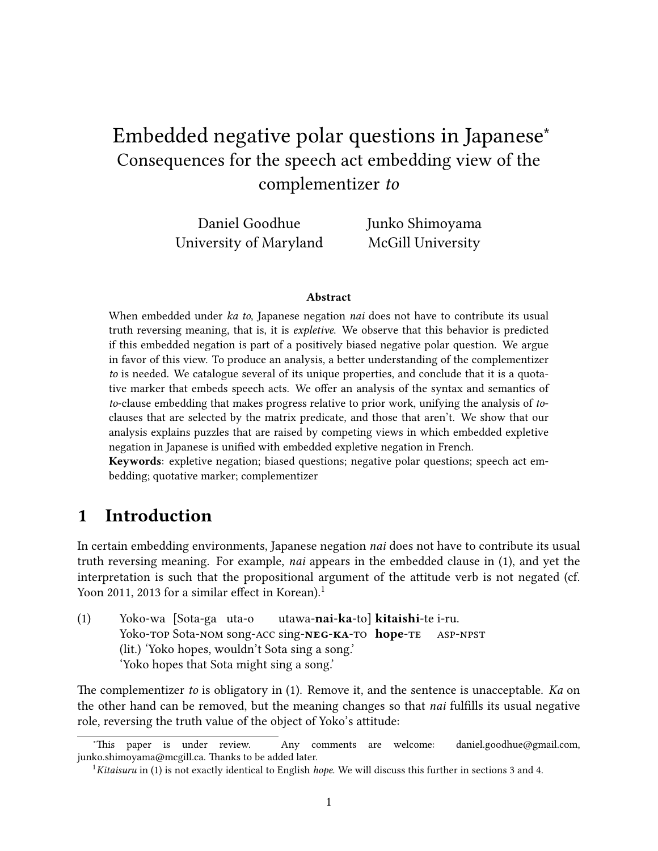# Embedded negative polar questions in Japanese<sup>∗</sup> Consequences for the speech act embedding view of the complementizer to

Daniel Goodhue University of Maryland Junko Shimoyama McGill University

#### Abstract

When embedded under ka to, Japanese negation nai does not have to contribute its usual truth reversing meaning, that is, it is expletive. We observe that this behavior is predicted if this embedded negation is part of a positively biased negative polar question. We argue in favor of this view. To produce an analysis, a better understanding of the complementizer to is needed. We catalogue several of its unique properties, and conclude that it is a quotative marker that embeds speech acts. We offer an analysis of the syntax and semantics of to-clause embedding that makes progress relative to prior work, unifying the analysis of toclauses that are selected by the matrix predicate, and those that aren't. We show that our analysis explains puzzles that are raised by competing views in which embedded expletive negation in Japanese is unified with embedded expletive negation in French.

Keywords: expletive negation; biased questions; negative polar questions; speech act embedding; quotative marker; complementizer

### <span id="page-0-3"></span>1 Introduction

In certain embedding environments, Japanese negation *nai* does not have to contribute its usual truth reversing meaning. For example, nai appears in the embedded clause in [\(1\),](#page-0-0) and yet the interpretation is such that the propositional argument of the attitude verb is not negated (cf. [Yoon 2011,](#page-35-0) [2013](#page-36-0) for a similar effect in Korean).<sup>[1](#page-0-1)</sup>

<span id="page-0-0"></span>(1) Yoko-wa [Sota-ga uta-o Yoko-top Sota-Nom song-ACC sing-NEG-KA-TO hope-TE utawa-**nai-ka-**tol **kitaishi-**te i-ru. asp-npst (lit.) 'Yoko hopes, wouldn't Sota sing a song.' 'Yoko hopes that Sota might sing a song.'

The complementizer to is obligatory in [\(1\).](#page-0-0) Remove it, and the sentence is unacceptable. Ka on the other hand can be removed, but the meaning changes so that *nai* fulfills its usual negative role, reversing the truth value of the object of Yoko's attitude:

<span id="page-0-2"></span><sup>∗</sup>is paper is under review. Any comments are welcome: daniel.goodhue@gmail.com, junko.shimoyama@mcgill.ca. Thanks to be added later.

<span id="page-0-1"></span><sup>&</sup>lt;sup>1</sup>Kitaisuru in [\(1\)](#page-0-0) is not exactly identical to English *hope*. We will discuss this further in sections [3](#page-7-0) and [4.](#page-15-0)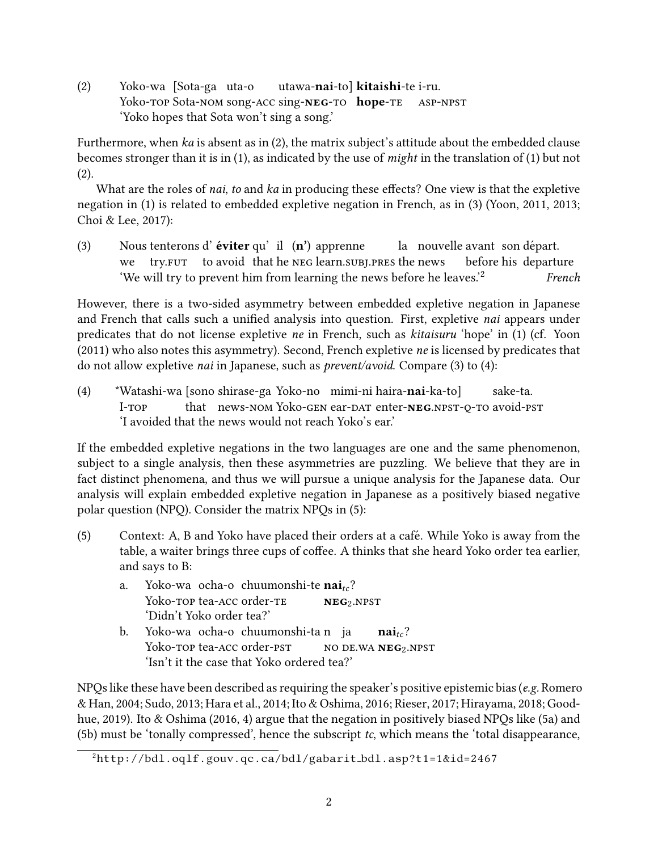(2) Yoko-wa [Sota-ga uta-o Yoko-top Sota-nom song-ACC sing-NEG-TO hope-TE utawa-**nai**-to] **kitaishi**-te i-ru. asp-npst 'Yoko hopes that Sota won't sing a song.'

Furthermore, when  $ka$  is absent as in  $(2)$ , the matrix subject's attitude about the embedded clause becomes stronger than it is in [\(1\),](#page-0-0) as indicated by the use of might in the translation of [\(1\)](#page-0-0) but not [\(2\).](#page-0-2)

What are the roles of nai, to and ka in producing these effects? One view is that the expletive negation in [\(1\)](#page-0-0) is related to embedded expletive negation in French, as in [\(3\)](#page-1-0) [\(Yoon, 2011,](#page-35-0) [2013;](#page-36-0) [Choi & Lee, 2017\)](#page-31-0):

<span id="page-1-0"></span>(3) Nous tenterons d'**éviter** qu' il  $(n')$  apprenne we try. Fut to avoid that he NEG learn. SUBI. PRES the news la) nouvelle avant son départ. before his departure 'We will try to prevent him from learning the news before he leaves.'[2](#page-1-1) French

However, there is a two-sided asymmetry between embedded expletive negation in Japanese and French that calls such a unified analysis into question. First, expletive nai appears under predicates that do not license expletive ne in French, such as kitaisuru 'hope' in [\(1\)](#page-0-0) (cf. [Yoon](#page-35-0) [\(2011\)](#page-35-0) who also notes this asymmetry). Second, French expletive ne is licensed by predicates that do not allow expletive *nai* in Japanese, such as *prevent/avoid*. Compare [\(3\)](#page-1-0) to [\(4\):](#page-1-2)

<span id="page-1-2"></span>(4) \*Watashi-wa [sono shirase-ga Yoko-no mimi-ni haira-nai-ka-to]  $I-TOP$ that news-nom Yoko-gen ear-dat enter-**neg** npst-o-to avoid-pst sake-ta. 'I avoided that the news would not reach Yoko's ear.'

If the embedded expletive negations in the two languages are one and the same phenomenon, subject to a single analysis, then these asymmetries are puzzling. We believe that they are in fact distinct phenomena, and thus we will pursue a unique analysis for the Japanese data. Our analysis will explain embedded expletive negation in Japanese as a positively biased negative polar question (NPQ). Consider the matrix NPQs in [\(5\):](#page-1-3)

- <span id="page-1-4"></span><span id="page-1-3"></span>(5) Context: A, B and Yoko have placed their orders at a cafe. While Yoko is away from the ´ table, a waiter brings three cups of coffee. A thinks that she heard Yoko order tea earlier, and says to B:
	- a. Yoko-wa ocha-o chuumonshi-te  $nai<sub>tc</sub>$ ? Yoko-top tea-acc order-te  $NEG<sub>2</sub>$ .NPST 'Didn't Yoko order tea?'
	- b. Yoko-wa ocha-o chuumonshi-ta n ja Yoko-top tea-acc order-pst no de.wa **neg**2.npst  $\mathbf{nai}_{tc}$ ? 'Isn't it the case that Yoko ordered tea?'

<span id="page-1-5"></span>NPQs like these have been described as requiring the speaker's positive epistemic bias (e.g. [Romero](#page-34-0) [& Han, 2004;](#page-34-0) [Sudo, 2013;](#page-35-1) [Hara et al., 2014;](#page-31-1) [Ito & Oshima, 2016;](#page-32-0) [Rieser, 2017;](#page-34-1) [Hirayama, 2018;](#page-31-2) [Good](#page-31-3)[hue, 2019\)](#page-31-3). [Ito & Oshima](#page-32-0) [\(2016,](#page-32-0) 4) argue that the negation in positively biased NPQs like [\(5a\)](#page-1-4) and [\(5b\)](#page-1-5) must be 'tonally compressed', hence the subscript  $tc$ , which means the 'total disappearance,

<span id="page-1-1"></span><sup>2</sup>[http://bdl.oqlf.gouv.qc.ca/bdl/gabarit](http://bdl.oqlf.gouv.qc.ca/bdl/gabarit_bdl.asp?t1=1&id=2467) bdl.asp?t1=1&id=2467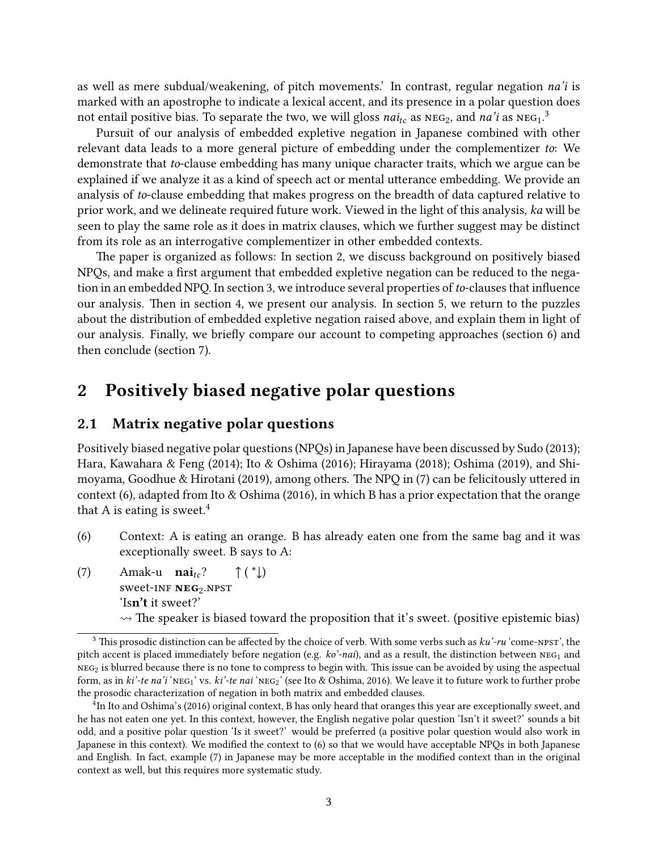as well as mere subdual/weakening, of pitch movements.' In contrast, regular negation na'i is marked with an apostrophe to indicate a lexical accent, and its presence in a polar question does not entail positive bias. To separate the two, we will gloss  $nai<sub>tc</sub>$  as  $NEG<sub>2</sub>$ , and  $na'i$  as  $NEG<sub>1</sub>$ .<sup>[3](#page-2-0)</sup>

Pursuit of our analysis of embedded expletive negation in Japanese combined with other relevant data leads to a more general picture of embedding under the complementizer to: We demonstrate that to-clause embedding has many unique character traits, which we argue can be explained if we analyze it as a kind of speech act or mental utterance embedding. We provide an analysis of to-clause embedding that makes progress on the breadth of data captured relative to prior work, and we delineate required future work. Viewed in the light of this analysis, ka will be seen to play the same role as it does in matrix clauses, which we further suggest may be distinct from its role as an interrogative complementizer in other embedded contexts.

The paper is organized as follows: In section [2,](#page-2-1) we discuss background on positively biased NPQs, and make a first argument that embedded expletive negation can be reduced to the nega-tion in an embedded NPQ. In section [3,](#page-7-0) we introduce several properties of to-clauses that influence our analysis. Then in section [4,](#page-15-0) we present our analysis. In section [5,](#page-23-0) we return to the puzzles about the distribution of embedded expletive negation raised above, and explain them in light of our analysis. Finally, we briefly compare our account to competing approaches (section [6\)](#page-26-0) and then conclude (section [7\)](#page-29-0).

## <span id="page-2-1"></span>2 Positively biased negative polar questions

#### <span id="page-2-5"></span>2.1 Matrix negative polar questions

Positively biased negative polar questions (NPQs) in Japanese have been discussed by [Sudo](#page-35-1) [\(2013\)](#page-35-1); [Hara, Kawahara & Feng](#page-31-1) [\(2014\)](#page-31-1); [Ito & Oshima](#page-32-0) [\(2016\)](#page-32-0); [Hirayama](#page-31-2) [\(2018\)](#page-31-2); [Oshima](#page-34-2) [\(2019\)](#page-34-2), and [Shi](#page-35-2)[moyama, Goodhue & Hirotani](#page-35-2) [\(2019\)](#page-35-2), among others. The NPQ in [\(7\)](#page-2-2) can be felicitously uttered in context [\(6\),](#page-2-3) adapted from [Ito & Oshima](#page-32-0) [\(2016\)](#page-32-0), in which B has a prior expectation that the orange that A is eating is sweet.<sup>[4](#page-2-4)</sup>

- <span id="page-2-3"></span>(6) Context: A is eating an orange. B has already eaten one from the same bag and it was exceptionally sweet. B says to A:
- <span id="page-2-2"></span>(7) Amak-u  $\mathbf{nai}_{tc}$ ? sweet-INF **NEG**2.NPST  $\uparrow$  (  $\downarrow$  ) 'Isn't it sweet?'  $\rightarrow$  The speaker is biased toward the proposition that it's sweet. (positive epistemic bias)

<span id="page-2-0"></span><sup>&</sup>lt;sup>3</sup> This prosodic distinction can be affected by the choice of verb. With some verbs such as  $ku'-ru$  'come-npst', the pitch accent is placed immediately before negation (e.g.  $ko'$ -nai), and as a result, the distinction between  $NEG_1$  and  $NEG_{2}$  is blurred because there is no tone to compress to begin with. This issue can be avoided by using the aspectual form, as in ki'-te na'i 'NEG<sub>1</sub>' vs. ki'-te nai 'NEG<sub>2</sub>' (see [Ito & Oshima, 2016\)](#page-32-0). We leave it to future work to further probe the prosodic characterization of negation in both matrix and embedded clauses.

<span id="page-2-4"></span><sup>4</sup> In Ito and Oshima's (2016) original context, B has only heard that oranges this year are exceptionally sweet, and he has not eaten one yet. In this context, however, the English negative polar question 'Isn't it sweet?' sounds a bit odd, and a positive polar question 'Is it sweet?' would be preferred (a positive polar question would also work in Japanese in this context). We modified the context to [\(6\)](#page-2-3) so that we would have acceptable NPQs in both Japanese and English. In fact, example [\(7\)](#page-2-2) in Japanese may be more acceptable in the modified context than in the original context as well, but this requires more systematic study.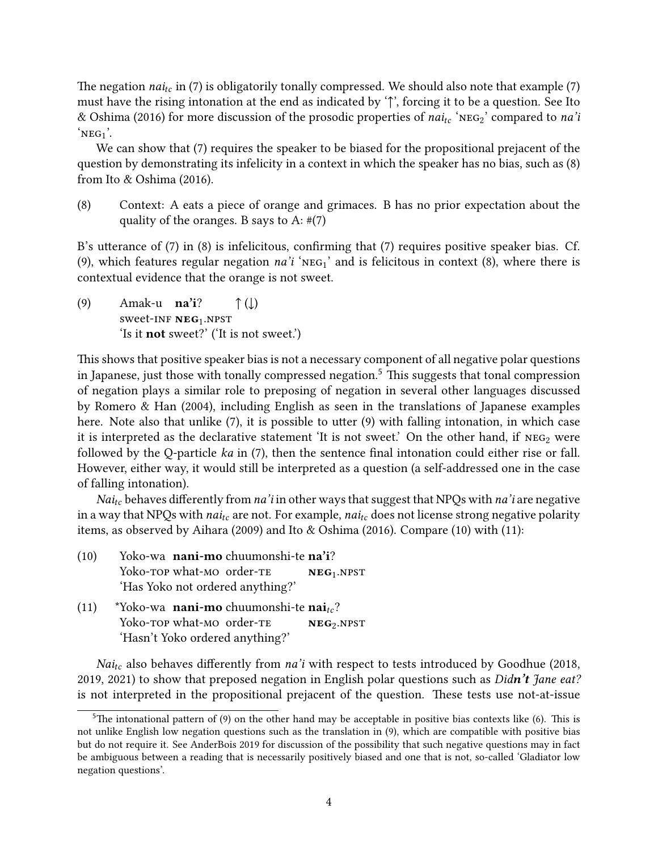The negation *nai<sub>tc</sub>* in [\(7\)](#page-2-2) is obligatorily tonally compressed. We should also note that example (7) must have the rising intonation at the end as indicated by '↑', forcing it to be a question. See Ito & Oshima (2016) for more discussion of the prosodic properties of nai<sub>tc</sub> 'NEG<sub>2</sub>' compared to na'i  $'NEG_1'.$ 

We can show that [\(7\)](#page-2-2) requires the speaker to be biased for the propositional prejacent of the question by demonstrating its infelicity in a context in which the speaker has no bias, such as [\(8\)](#page-3-0) from [Ito & Oshima](#page-32-0) [\(2016\)](#page-32-0).

<span id="page-3-0"></span>(8) Context: A eats a piece of orange and grimaces. B has no prior expectation about the quality of the oranges. B says to A:  $\#(7)$  $\#(7)$ 

B's utterance of  $(7)$  in  $(8)$  is infelicitous, confirming that  $(7)$  requires positive speaker bias. Cf. [\(9\),](#page-3-1) which features regular negation  $na'i'$  NEG<sub>1</sub>' and is felicitous in context [\(8\),](#page-3-0) where there is contextual evidence that the orange is not sweet.

<span id="page-3-1"></span>(9) Amak-u  $na'i?$ sweet-INF **NEG**1.NPST  $\uparrow$  ( $\downarrow$ ) 'Is it not sweet?' ('It is not sweet.')

This shows that positive speaker bias is not a necessary component of all negative polar questions in Japanese, just those with tonally compressed negation.<sup>[5](#page-3-2)</sup> This suggests that tonal compression of negation plays a similar role to preposing of negation in several other languages discussed by [Romero & Han](#page-34-0) [\(2004\)](#page-34-0), including English as seen in the translations of Japanese examples here. Note also that unlike  $(7)$ , it is possible to utter  $(9)$  with falling intonation, in which case it is interpreted as the declarative statement 'It is not sweet.' On the other hand, if  $NEG_{2}$  were followed by the Q-particle  $ka$  in  $(7)$ , then the sentence final intonation could either rise or fall. However, either way, it would still be interpreted as a question (a self-addressed one in the case of falling intonation).

*Nai*<sub>tc</sub> behaves differently from *na*'*i* in other ways that suggest that NPQs with *na*'*i* are negative in a way that NPQs with  $nai_{tc}$  are not. For example,  $nai_{tc}$  does not license strong negative polarity items, as observed by [Aihara](#page-30-0) [\(2009\)](#page-30-0) and [Ito & Oshima](#page-32-0) [\(2016\)](#page-32-0). Compare [\(10\)](#page-3-3) with [\(11\):](#page-3-4)

<span id="page-3-3"></span>

| (10) | Yoko-wa nani-mo chuumonshi-te na'i? |                |  |
|------|-------------------------------------|----------------|--|
|      | Yoko-TOP what-MO order-TE           | $NEG_{1}.NPST$ |  |
|      | 'Has Yoko not ordered anything?'    |                |  |

<span id="page-3-4"></span>(11) \*Yoko-wa **nani-mo** chuumonshi-te **nai**<sub>tc</sub>? Yoko-top what-Mo order-te NEG<sub>2</sub>.NPST 'Hasn't Yoko ordered anything?'

 $Nai<sub>tc</sub>$  also behaves differently from na'i with respect to tests introduced by [Goodhue](#page-31-4) [\(2018,](#page-31-4) [2019,](#page-31-3) [2021\)](#page-31-5) to show that preposed negation in English polar questions such as Didn't Jane eat? is not interpreted in the propositional prejacent of the question. These tests use not-at-issue

<span id="page-3-2"></span><sup>&</sup>lt;sup>5</sup>The intonational pattern of [\(9\)](#page-3-1) on the other hand may be acceptable in positive bias contexts like [\(6\).](#page-2-3) This is not unlike English low negation questions such as the translation in [\(9\),](#page-3-1) which are compatible with positive bias but do not require it. See [AnderBois 2019](#page-30-1) for discussion of the possibility that such negative questions may in fact be ambiguous between a reading that is necessarily positively biased and one that is not, so-called 'Gladiator low negation questions'.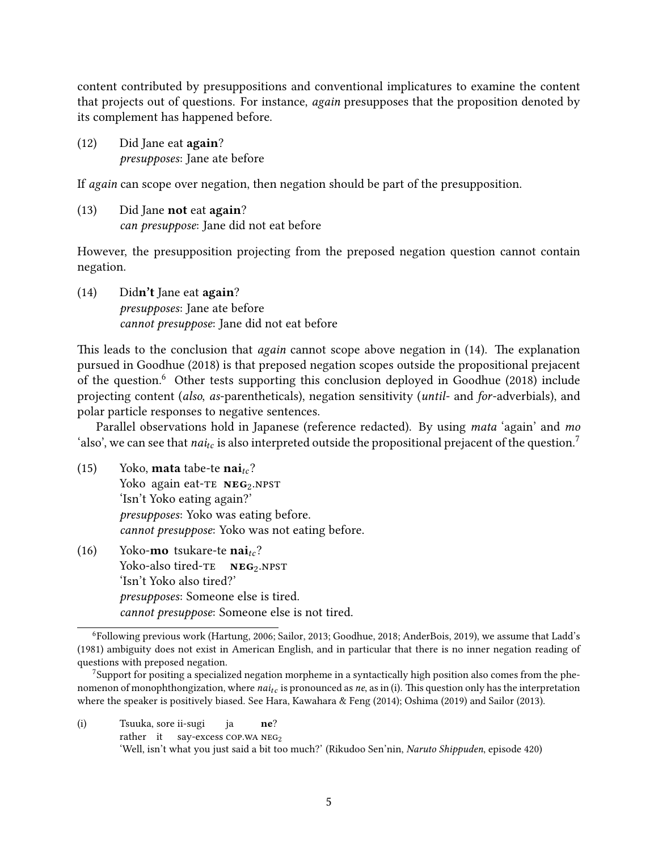content contributed by presuppositions and conventional implicatures to examine the content that projects out of questions. For instance, again presupposes that the proposition denoted by its complement has happened before.

(12) Did Jane eat again? presupposes: Jane ate before

If again can scope over negation, then negation should be part of the presupposition.

(13) Did Jane not eat again? can presuppose: Jane did not eat before

However, the presupposition projecting from the preposed negation question cannot contain negation.

<span id="page-4-0"></span>(14) Didn't Jane eat again? presupposes: Jane ate before cannot presuppose: Jane did not eat before

This leads to the conclusion that  $again$  cannot scope above negation in [\(14\).](#page-4-0) The explanation pursued in [Goodhue](#page-31-4) [\(2018\)](#page-31-4) is that preposed negation scopes outside the propositional prejacent of the question.[6](#page-4-1) Other tests supporting this conclusion deployed in [Goodhue](#page-31-4) [\(2018\)](#page-31-4) include projecting content (also, as-parentheticals), negation sensitivity (until- and for-adverbials), and polar particle responses to negative sentences.

Parallel observations hold in Japanese (reference redacted). By using *mata* 'again' and mo 'also', we can see that nai<sub>tc</sub> is also interpreted outside the propositional prejacent of the question.<sup>[7](#page-4-2)</sup>

- (15) Yoko, **mata** tabe-te  $nai<sub>tc</sub>$ ? Yoko again eat-te NEG<sub>2</sub>.NPST 'Isn't Yoko eating again?' presupposes: Yoko was eating before. cannot presuppose: Yoko was not eating before.
- (16) Yoko-**mo** tsukare-te **nai**<sub>tc</sub>? Yoko-also tired-TE NEG<sub>2</sub>.NPST 'Isn't Yoko also tired?' presupposes: Someone else is tired. cannot presuppose: Someone else is not tired.

<span id="page-4-3"></span>(i) Tsuuka, sore ii-sugi rather it say-excess COP.WA NEG2 ja ne? 'Well, isn't what you just said a bit too much?' (Rikudoo Sen'nin, Naruto Shippuden, episode 420)

<span id="page-4-1"></span><sup>6</sup>Following previous work [\(Hartung, 2006;](#page-31-6) [Sailor, 2013;](#page-34-3) [Goodhue, 2018;](#page-31-4) [AnderBois, 2019\)](#page-30-1), we assume that [Ladd'](#page-32-1)s [\(1981\)](#page-32-1) ambiguity does not exist in American English, and in particular that there is no inner negation reading of questions with preposed negation.

<span id="page-4-2"></span><sup>&</sup>lt;sup>7</sup>Support for positing a specialized negation morpheme in a syntactically high position also comes from the phenomenon of monophthongization, where  $nai<sub>tc</sub>$  is pronounced as ne, as in [\(i\).](#page-4-3) This question only has the interpretation where the speaker is positively biased. See [Hara, Kawahara & Feng](#page-31-1) [\(2014\)](#page-31-1); [Oshima](#page-34-2) [\(2019\)](#page-34-2) and [Sailor](#page-34-3) [\(2013\)](#page-34-3).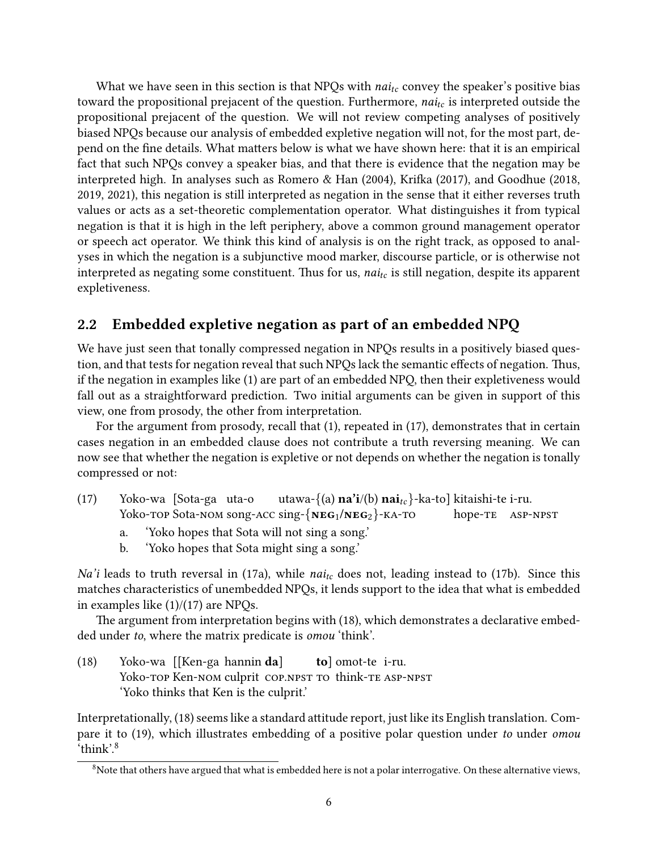What we have seen in this section is that NPQs with  $nai_{tc}$  convey the speaker's positive bias toward the propositional prejacent of the question. Furthermore,  $nai_{tc}$  is interpreted outside the propositional prejacent of the question. We will not review competing analyses of positively biased NPQs because our analysis of embedded expletive negation will not, for the most part, depend on the fine details. What matters below is what we have shown here: that it is an empirical fact that such NPQs convey a speaker bias, and that there is evidence that the negation may be interpreted high. In analyses such as [Romero & Han](#page-34-0)  $(2004)$ , Krifka  $(2017)$ , and [Goodhue](#page-31-4)  $(2018)$ , [2019,](#page-31-3) [2021\)](#page-31-5), this negation is still interpreted as negation in the sense that it either reverses truth values or acts as a set-theoretic complementation operator. What distinguishes it from typical negation is that it is high in the left periphery, above a common ground management operator or speech act operator. We think this kind of analysis is on the right track, as opposed to analyses in which the negation is a subjunctive mood marker, discourse particle, or is otherwise not interpreted as negating some constituent. Thus for us,  $nai<sub>tc</sub>$  is still negation, despite its apparent expletiveness.

### <span id="page-5-6"></span>2.2 Embedded expletive negation as part of an embedded NPQ

We have just seen that tonally compressed negation in NPQs results in a positively biased question, and that tests for negation reveal that such NPQs lack the semantic effects of negation. Thus, if the negation in examples like [\(1\)](#page-0-0) are part of an embedded NPQ, then their expletiveness would fall out as a straightforward prediction. Two initial arguments can be given in support of this view, one from prosody, the other from interpretation.

For the argument from prosody, recall that [\(1\),](#page-0-0) repeated in [\(17\),](#page-5-0) demonstrates that in certain cases negation in an embedded clause does not contribute a truth reversing meaning. We can now see that whether the negation is expletive or not depends on whether the negation is tonally compressed or not:

- <span id="page-5-1"></span><span id="page-5-0"></span>(17) Yoko-wa [Sota-ga uta-o Yoko-top Sota-Nom song-Acc sing-{NEG1/NEG2}-KA-TO utawa-{(a)  $\mathbf{n} \mathbf{a}^i$ i/(b)  $\mathbf{n} \mathbf{a}^i_{tc}$ }-ka-to] kitaishi-te i-ru. hope-te asp-npst
	- a. 'Yoko hopes that Sota will not sing a song.'
	- b. 'Yoko hopes that Sota might sing a song.'

<span id="page-5-2"></span>Na'i leads to truth reversal in [\(17a\),](#page-5-1) while nai<sub>tc</sub> does not, leading instead to [\(17b\).](#page-5-2) Since this matches characteristics of unembedded NPQs, it lends support to the idea that what is embedded in examples like  $(1)/(17)$  $(1)/(17)$  are NPQs.

The argument from interpretation begins with [\(18\),](#page-5-3) which demonstrates a declarative embedded under to, where the matrix predicate is omou 'think'.

<span id="page-5-3"></span>(18) Yoko-wa [[Ken-ga hannin da] Yoko-top Ken-nom culprit cop.npst to think-te ASP-NPST tol omot-te i-ru. 'Yoko thinks that Ken is the culprit.'

Interpretationally, [\(18\)](#page-5-3) seems like a standard attitude report, just like its English translation. Com-pare it to [\(19\),](#page-5-4) which illustrates embedding of a positive polar question under to under *omou* 'think'.[8](#page-5-5)

<span id="page-5-5"></span><span id="page-5-4"></span> $8$ Note that others have argued that what is embedded here is not a polar interrogative. On these alternative views,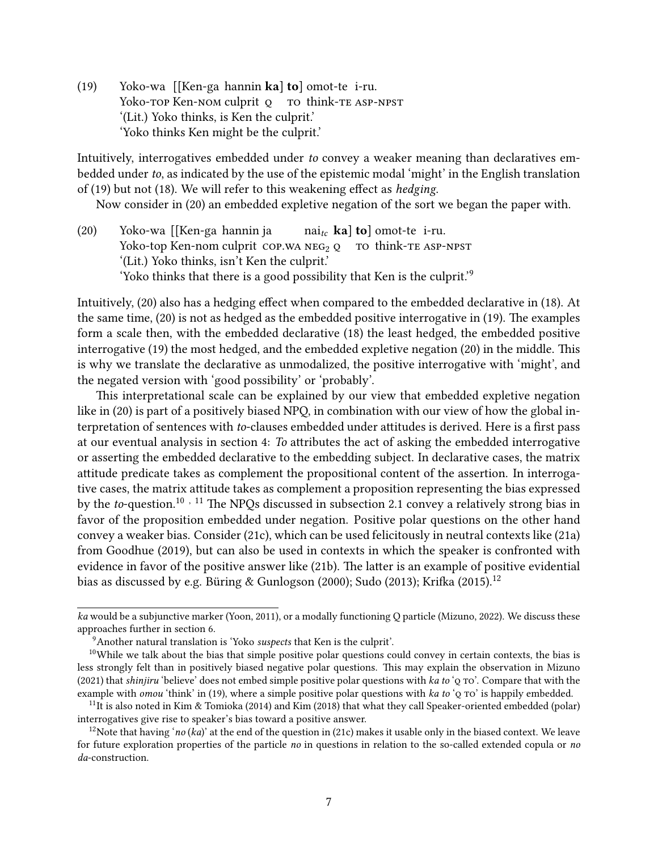(19) Yoko-wa [[Ken-ga hannin ka] to] omot-te i-ru. Yoko-top Ken-Nom culprit o to think-te ASP-NPST '(Lit.) Yoko thinks, is Ken the culprit.' 'Yoko thinks Ken might be the culprit.'

Intuitively, interrogatives embedded under to convey a weaker meaning than declaratives embedded under to, as indicated by the use of the epistemic modal 'might' in the English translation of  $(19)$  but not  $(18)$ . We will refer to this weakening effect as *hedging*.

Now consider in [\(20\)](#page-6-0) an embedded expletive negation of the sort we began the paper with.

<span id="page-6-0"></span>(20) Yoko-wa [[Ken-ga hannin ja Yoko-top Ken-nom culprit COP.WA NEG<sub>2</sub> Q TO think-TE ASP-NPST  $\text{nai}_{tc}$  ka] to] omot-te i-ru. '(Lit.) Yoko thinks, isn't Ken the culprit.' 'Yoko thinks that there is a good possibility that Ken is the culprit.'[9](#page-6-1)

Intuitively, [\(20\)](#page-6-0) also has a hedging effect when compared to the embedded declarative in [\(18\).](#page-5-3) At the same time,  $(20)$  is not as hedged as the embedded positive interrogative in  $(19)$ . The examples form a scale then, with the embedded declarative [\(18\)](#page-5-3) the least hedged, the embedded positive interrogative [\(19\)](#page-5-4) the most hedged, and the embedded expletive negation [\(20\)](#page-6-0) in the middle. This is why we translate the declarative as unmodalized, the positive interrogative with 'might', and the negated version with 'good possibility' or 'probably'.

This interpretational scale can be explained by our view that embedded expletive negation like in [\(20\)](#page-6-0) is part of a positively biased NPQ, in combination with our view of how the global interpretation of sentences with to-clauses embedded under attitudes is derived. Here is a first pass at our eventual analysis in section [4:](#page-15-0) To attributes the act of asking the embedded interrogative or asserting the embedded declarative to the embedding subject. In declarative cases, the matrix attitude predicate takes as complement the propositional content of the assertion. In interrogative cases, the matrix attitude takes as complement a proposition representing the bias expressed by the to-question.<sup>[10](#page-6-2), [11](#page-6-3)</sup> The NPQs discussed in subsection [2.1](#page-2-5) convey a relatively strong bias in favor of the proposition embedded under negation. Positive polar questions on the other hand convey a weaker bias. Consider [\(21c\),](#page-7-1) which can be used felicitously in neutral contexts like [\(21a\)](#page-6-4) from [Goodhue](#page-31-3) [\(2019\)](#page-31-3), but can also be used in contexts in which the speaker is confronted with evidence in favor of the positive answer like [\(21b\).](#page-7-2) The latter is an example of positive evidential bias as discussed by e.g. Büring & Gunlogson [\(2000\)](#page-30-2): [Sudo](#page-35-1) [\(2013\)](#page-35-1): Krifka [\(2015\)](#page-32-3).<sup>[12](#page-6-5)</sup>

<span id="page-6-4"></span>ka would be a subjunctive marker [\(Yoon, 2011\)](#page-35-0), or a modally functioning Q particle [\(Mizuno, 2022\)](#page-33-0). We discuss these approaches further in section [6.](#page-26-0)

<span id="page-6-2"></span><span id="page-6-1"></span> $9$ Another natural translation is 'Yoko suspects that Ken is the culprit'.

 $10$ While we talk about the bias that simple positive polar questions could convey in certain contexts, the bias is less strongly felt than in positively biased negative polar questions. This may explain the observation in [Mizuno](#page-33-1) [\(2021\)](#page-33-1) that *shinjiru* 'believe' does not embed simple positive polar questions with ka to 'Q TO'. Compare that with the example with *omou* 'think' in [\(19\),](#page-5-4) where a simple positive polar questions with ka to 'Q TO' is happily embedded.

<span id="page-6-3"></span><sup>&</sup>lt;sup>11</sup>It is also noted in [Kim & Tomioka](#page-32-4) [\(2014\)](#page-32-4) and [Kim](#page-32-5) [\(2018\)](#page-32-5) that what they call Speaker-oriented embedded (polar) interrogatives give rise to speaker's bias toward a positive answer.

<span id="page-6-5"></span><sup>&</sup>lt;sup>12</sup>Note that having 'no (ka)' at the end of the question in [\(21c\)](#page-7-1) makes it usable only in the biased context. We leave for future exploration properties of the particle no in questions in relation to the so-called extended copula or no da-construction.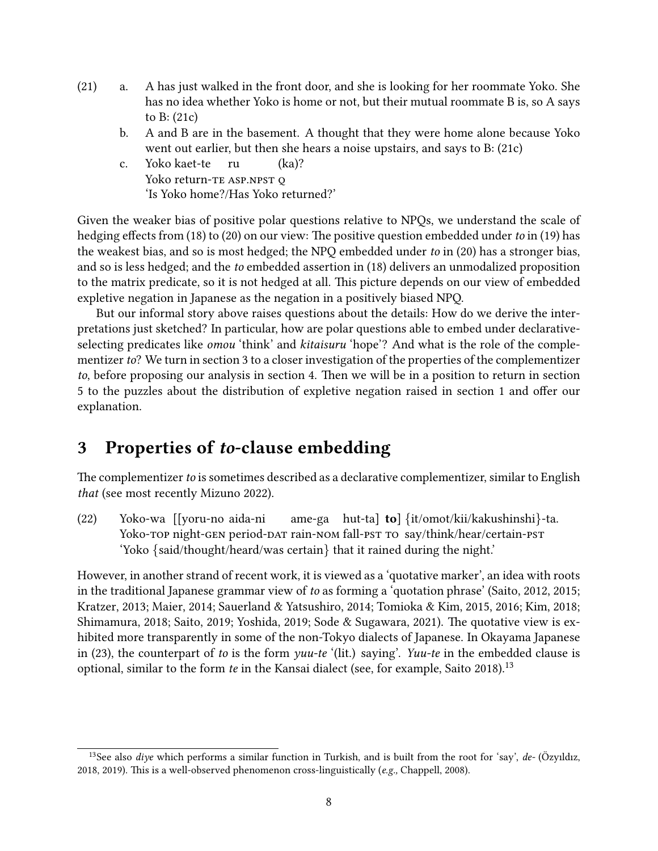- <span id="page-7-2"></span>(21) a. A has just walked in the front door, and she is looking for her roommate Yoko. She has no idea whether Yoko is home or not, but their mutual roommate B is, so A says to B: [\(21c\)](#page-7-1)
	- b. A and B are in the basement. A thought that they were home alone because Yoko went out earlier, but then she hears a noise upstairs, and says to B: [\(21c\)](#page-7-1)
	- c. Yoko kaet-te .<br>Yoko return-te asp.npst o ru (ka)? 'Is Yoko home?/Has Yoko returned?'

<span id="page-7-1"></span>Given the weaker bias of positive polar questions relative to NPQs, we understand the scale of hedging effects from [\(18\)](#page-5-3) to [\(20\)](#page-6-0) on our view: The positive question embedded under to in [\(19\)](#page-5-4) has the weakest bias, and so is most hedged; the NPQ embedded under to in [\(20\)](#page-6-0) has a stronger bias, and so is less hedged; and the to embedded assertion in [\(18\)](#page-5-3) delivers an unmodalized proposition to the matrix predicate, so it is not hedged at all. This picture depends on our view of embedded expletive negation in Japanese as the negation in a positively biased NPQ.

But our informal story above raises questions about the details: How do we derive the interpretations just sketched? In particular, how are polar questions able to embed under declarativeselecting predicates like *omou* 'think' and *kitaisuru* 'hope'? And what is the role of the complementizer to? We turn in section [3](#page-7-0) to a closer investigation of the properties of the complementizer to, before proposing our analysis in section [4.](#page-15-0) Then we will be in a position to return in section [5](#page-23-0) to the puzzles about the distribution of expletive negation raised in section [1](#page-0-3) and offer our explanation.

## <span id="page-7-0"></span>3 Properties of to-clause embedding

The complementizer to is sometimes described as a declarative complementizer, similar to English that (see most recently [Mizuno 2022\)](#page-33-0).

(22) Yoko-wa [[yoru-no aida-ni Yoko-top night-gen period-pat rain-nom fall-pst to say/think/hear/certain-pst ame-ga hut-ta] to] {it/omot/kii/kakushinshi}-ta. 'Yoko {said/thought/heard/was certain} that it rained during the night.'

However, in another strand of recent work, it is viewed as a 'quotative marker', an idea with roots in the traditional Japanese grammar view of to as forming a 'quotation phrase' [\(Saito, 2012,](#page-34-4) [2015;](#page-34-5) [Kratzer, 2013;](#page-32-6) [Maier, 2014;](#page-33-2) [Sauerland & Yatsushiro, 2014;](#page-35-3) [Tomioka & Kim, 2015,](#page-35-4) [2016;](#page-35-5) [Kim, 2018;](#page-32-5) [Shimamura, 2018;](#page-35-6) [Saito, 2019;](#page-34-6) [Yoshida, 2019;](#page-36-1) [Sode & Sugawara, 2021\)](#page-35-7). The quotative view is exhibited more transparently in some of the non-Tokyo dialects of Japanese. In Okayama Japanese in [\(23\),](#page-8-0) the counterpart of to is the form yuu-te '(lit.) saying'. Yuu-te in the embedded clause is optional, similar to the form *te* in the Kansai dialect (see, for example, [Saito 2018\)](#page-34-7).<sup>[13](#page-7-3)</sup>

<span id="page-7-3"></span><sup>&</sup>lt;sup>13</sup>See also *dive* which performs a similar function in Turkish, and is built from the root for 'say',  $de$ - (Özyıldız, [2018,](#page-34-8) [2019\)](#page-34-9). This is a well-observed phenomenon cross-linguistically (e.g., [Chappell, 2008\)](#page-31-7).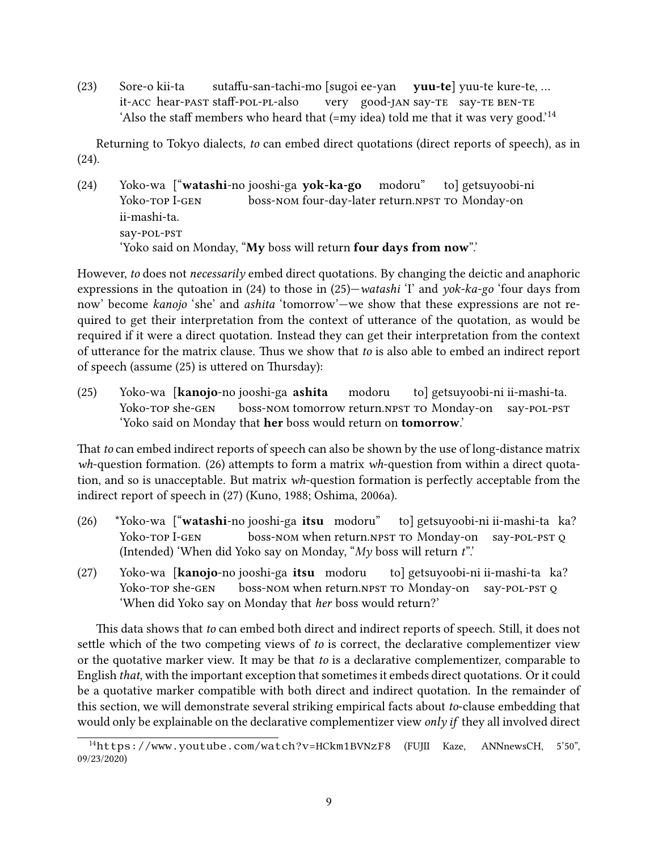<span id="page-8-0"></span>(23) Sore-o kii-ta it-ACC hear-past staff-pol-pl-also sutaffu-san-tachi-mo [sugoi ee-yan vuu-te] yuu-te kure-te.... very good-jan say-te say-te ben-te 'Also the staff members who heard that  $(=m\dot{y})$  told me that it was very good.'<sup>[14](#page-8-1)</sup>

Returning to Tokyo dialects, to can embed direct quotations (direct reports of speech), as in [\(24\).](#page-8-2)

<span id="page-8-2"></span>(24) Yoko-wa l<sup>a</sup>watashi-no jooshi-ga vok-ka-go Yoko-top I-gen .<br>boss-NOM four-day-later return.NPST TO Monday-on modoru" to] getsuyoobi-ni ii-mashi-ta. say-pol-pst 'Yoko said on Monday, "My boss will return four days from now".'

However, to does not necessarily embed direct quotations. By changing the deictic and anaphoric expressions in the qutoation in [\(24\)](#page-8-2) to those in [\(25\)—](#page-8-3)watashi 'I' and yok-ka-go 'four days from now' become kanojo 'she' and ashita 'tomorrow'—we show that these expressions are not required to get their interpretation from the context of utterance of the quotation, as would be required if it were a direct quotation. Instead they can get their interpretation from the context of utterance for the matrix clause. Thus we show that to is also able to embed an indirect report of speech (assume  $(25)$  is uttered on Thursday):

<span id="page-8-3"></span>(25) Yoko-wa [kanoio-no jooshi-ga ashita Yoko-top she-gen .<br>boss-nom tomorrow return.npst to Monday-on modoru to] getsuyoobi-ni ii-mashi-ta. say-pol-pst 'Yoko said on Monday that her boss would return on tomorrow.'

That to can embed indirect reports of speech can also be shown by the use of long-distance matrix  $wh$ -question formation. [\(26\)](#page-8-4) attempts to form a matrix  $wh$ -question from within a direct quotation, and so is unacceptable. But matrix wh-question formation is perfectly acceptable from the indirect report of speech in [\(27\)](#page-8-5) [\(Kuno, 1988;](#page-32-7) [Oshima, 2006a\)](#page-33-3).

- <span id="page-8-4"></span>(26) \*Yoko-wa l<sup>"</sup>watashi-no jooshi-ga itsu modoru" Yoko-top I-gen <u>boss-nom</u> when return.npst to Monday-on say-pol-pst o to] getsuyoobi-ni ii-mashi-ta ka? (Intended) 'When did Yoko say on Monday, " $My$  boss will return  $t$ ".'
- <span id="page-8-5"></span>(27) Yoko-wa [kanoio-no jooshi-ga itsu modoru Yoko-top she-gen <u>boss-nom</u> when return.npst to Monday-on say-pol-pst o to] getsuyoobi-ni ii-mashi-ta ka? 'When did Yoko say on Monday that her boss would return?'

This data shows that to can embed both direct and indirect reports of speech. Still, it does not settle which of the two competing views of to is correct, the declarative complementizer view or the quotative marker view. It may be that to is a declarative complementizer, comparable to English that, with the important exception that sometimes it embeds direct quotations. Or it could be a quotative marker compatible with both direct and indirect quotation. In the remainder of this section, we will demonstrate several striking empirical facts about to-clause embedding that would only be explainable on the declarative complementizer view *only if* they all involved direct

<span id="page-8-1"></span><sup>14</sup><https://www.youtube.com/watch?v=HCkm1BVNzF8> (FUJII Kaze, ANNnewsCH, 5'50", 09/23/2020)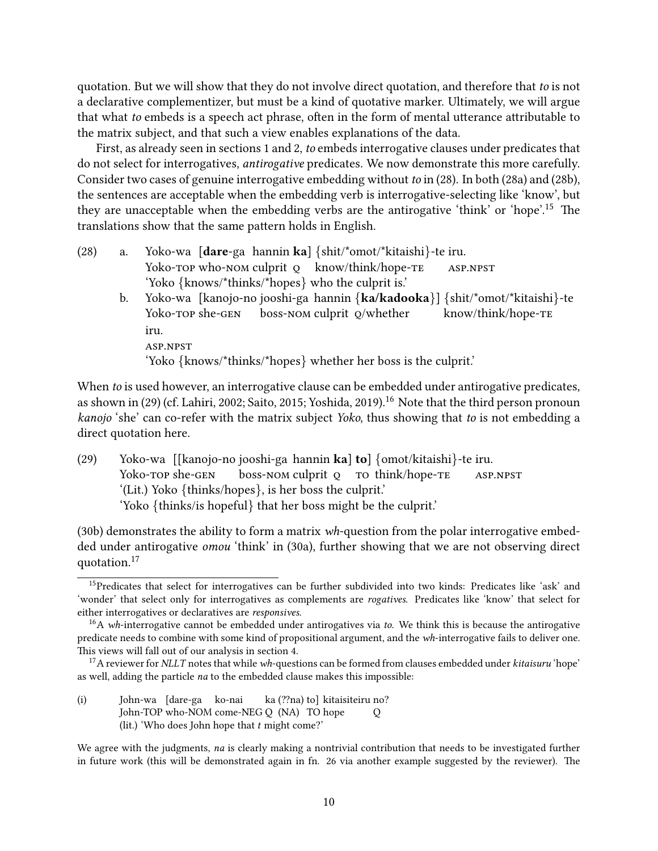quotation. But we will show that they do not involve direct quotation, and therefore that to is not a declarative complementizer, but must be a kind of quotative marker. Ultimately, we will argue that what to embeds is a speech act phrase, often in the form of mental utterance attributable to the matrix subject, and that such a view enables explanations of the data.

First, as already seen in sections [1](#page-0-3) and [2,](#page-2-1) to embeds interrogative clauses under predicates that do not select for interrogatives, antirogative predicates. We now demonstrate this more carefully. Consider two cases of genuine interrogative embedding without to in [\(28\).](#page-9-0) In both [\(28a\)](#page-9-1) and [\(28b\),](#page-9-2) the sentences are acceptable when the embedding verb is interrogative-selecting like 'know', but they are unacceptable when the embedding verbs are the antirogative 'think' or 'hope'.<sup>[15](#page-9-3)</sup> The translations show that the same pattern holds in English.

- <span id="page-9-2"></span><span id="page-9-1"></span><span id="page-9-0"></span>(28) a. Yoko-wa [dare-ga hannin ka] {shit/\*omot/\*kitaishi}-te iru. Yoko-top who-nom culprit o know/think/hope-te asp.npst 'Yoko {knows/\*thinks/\*hopes} who the culprit is.'
	- b. Yoko-wa [kanojo-no jooshi-ga hannin {ka/kadooka}] {shit/\*omot/\*kitaishi}-te Yoko-top she-gen boss-nom culprit q/whether know/think/hope-te iru. asp.npst 'Yoko {knows/\*thinks/\*hopes} whether her boss is the culprit.'

When to is used however, an interrogative clause can be embedded under antirogative predicates, as shown in [\(29\)](#page-9-4) (cf. [Lahiri, 2002;](#page-32-8) [Saito, 2015;](#page-34-5) [Yoshida, 2019\)](#page-36-1).<sup>[16](#page-9-5)</sup> Note that the third person pronoun kanojo 'she' can co-refer with the matrix subject Yoko, thus showing that to is not embedding a direct quotation here.

<span id="page-9-4"></span>(29) Yoko-wa [[kanojo-no jooshi-ga hannin ka] to] {omot/kitaishi}-te iru. Yoko-top she-gen boss-NOM culprit o To think/hope-TE asp.npst '(Lit.) Yoko {thinks/hopes}, is her boss the culprit.' 'Yoko {thinks/is hopeful} that her boss might be the culprit.'

[\(30b\)](#page-10-0) demonstrates the ability to form a matrix wh-question from the polar interrogative embedded under antirogative *omou* 'think' in [\(30a\),](#page-10-1) further showing that we are not observing direct quotation.[17](#page-9-6)

(i) John-wa [dare-ga ko-nai John-TOP who-NOM come-NEG Q (NA) TO hope ka (??na) tol kitaisiteiru no? Q (lit.) 'Who does John hope that  $t$  might come?'

We agree with the judgments, na is clearly making a nontrivial contribution that needs to be investigated further in future work (this will be demonstrated again in fn. [26](#page-17-0) via another example suggested by the reviewer). The

<span id="page-9-7"></span><span id="page-9-3"></span><sup>&</sup>lt;sup>15</sup>Predicates that select for interrogatives can be further subdivided into two kinds: Predicates like 'ask' and 'wonder' that select only for interrogatives as complements are rogatives. Predicates like 'know' that select for either interrogatives or declaratives are responsives.

<span id="page-9-5"></span> $16A$  wh-interrogative cannot be embedded under antirogatives via to. We think this is because the antirogative predicate needs to combine with some kind of propositional argument, and the wh-interrogative fails to deliver one. This views will fall out of our analysis in section [4.](#page-15-0)

<span id="page-9-6"></span> $^{17}$  A reviewer for NLLT notes that while wh-questions can be formed from clauses embedded under kitaisuru 'hope' as well, adding the particle na to the embedded clause makes this impossible: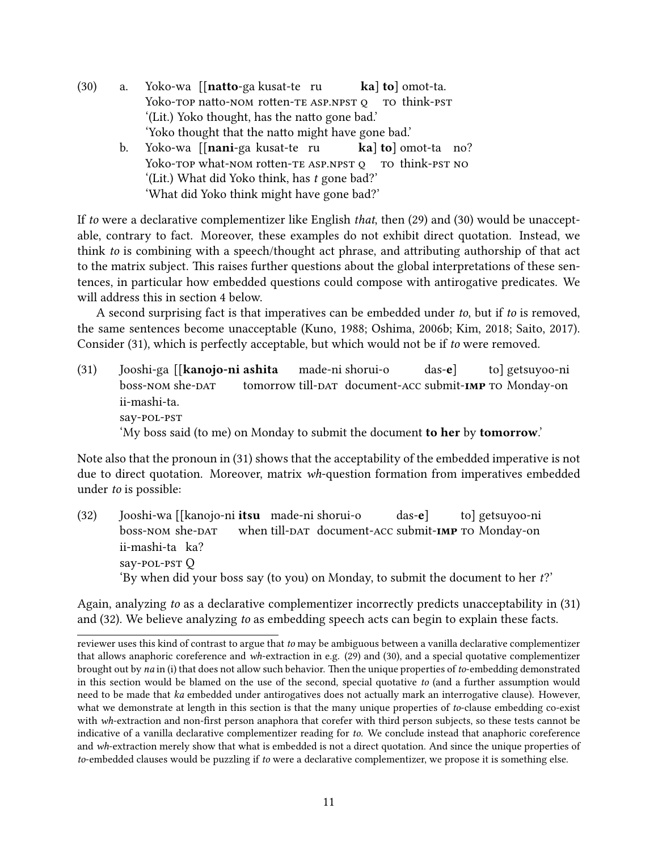- <span id="page-10-1"></span><span id="page-10-0"></span>(30) a. Yoko-wa [[**natto**-ga kusat-te ru Yoko-top natto-nom rotten-te ASP.NPST o to think-pst kal tol omot-ta. '(Lit.) Yoko thought, has the natto gone bad.' 'Yoko thought that the natto might have gone bad.'
	- b. Yoko-wa ll**nani**-ga kusat-te ru Yoko-top what-nom rotten-the ASP.NPST on think-pst No kal tol omot-ta no? '(Lit.) What did Yoko think, has t gone bad?' 'What did Yoko think might have gone bad?'

If to were a declarative complementizer like English that, then [\(29\)](#page-9-4) and [\(30\)](#page-9-7) would be unacceptable, contrary to fact. Moreover, these examples do not exhibit direct quotation. Instead, we think to is combining with a speech/thought act phrase, and attributing authorship of that act to the matrix subject. This raises further questions about the global interpretations of these sentences, in particular how embedded questions could compose with antirogative predicates. We will address this in section [4](#page-15-0) below.

A second surprising fact is that imperatives can be embedded under to, but if to is removed, the same sentences become unacceptable [\(Kuno, 1988;](#page-32-7) [Oshima, 2006b;](#page-33-4) [Kim, 2018;](#page-32-5) [Saito, 2017\)](#page-34-10). Consider [\(31\),](#page-10-2) which is perfectly acceptable, but which would not be if to were removed.

<span id="page-10-2"></span>(31) Iooshi-ga [[**kanojo-ni ashita** boss-nom she-dat tomorrow till-DAT document-ACC submit-IMP TO Monday-on made-ni shorui-o das-e] to] getsuyoo-ni ii-mashi-ta. say-pol-pst 'My boss said (to me) on Monday to submit the document to her by tomorrow.'

Note also that the pronoun in [\(31\)](#page-10-2) shows that the acceptability of the embedded imperative is not due to direct quotation. Moreover, matrix wh-question formation from imperatives embedded under to is possible:

<span id="page-10-3"></span>(32) Iooshi-wa [[kanojo-ni **itsu** made-ni shorui-o boss-nom she-dat when till-pat document-acc submit-IMP TO Monday-on das-e] to] getsuyoo-ni ii-mashi-ta ka? say-pol-pst Q 'By when did your boss say (to you) on Monday, to submit the document to her t?'

Again, analyzing to as a declarative complementizer incorrectly predicts unacceptability in [\(31\)](#page-10-2) and [\(32\).](#page-10-3) We believe analyzing to as embedding speech acts can begin to explain these facts.

reviewer uses this kind of contrast to argue that to may be ambiguous between a vanilla declarative complementizer that allows anaphoric coreference and wh-extraction in e.g. [\(29\)](#page-9-4) and [\(30\),](#page-9-7) and a special quotative complementizer brought out by na in (i) that does not allow such behavior. Then the unique properties of to-embedding demonstrated in this section would be blamed on the use of the second, special quotative to (and a further assumption would need to be made that ka embedded under antirogatives does not actually mark an interrogative clause). However, what we demonstrate at length in this section is that the many unique properties of to-clause embedding co-exist with wh-extraction and non-first person anaphora that corefer with third person subjects, so these tests cannot be indicative of a vanilla declarative complementizer reading for to. We conclude instead that anaphoric coreference and wh-extraction merely show that what is embedded is not a direct quotation. And since the unique properties of to-embedded clauses would be puzzling if to were a declarative complementizer, we propose it is something else.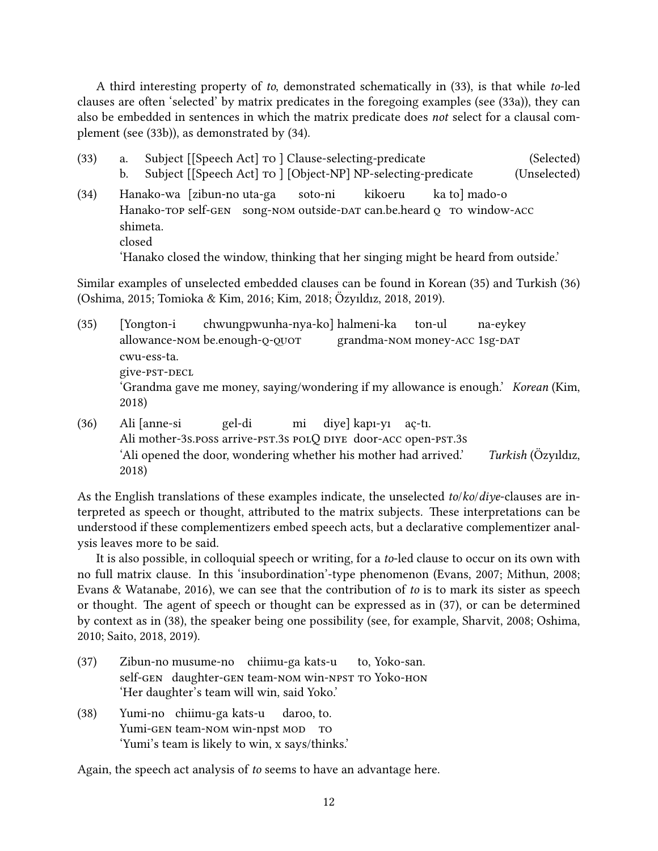A third interesting property of to, demonstrated schematically in [\(33\),](#page-11-0) is that while to-led clauses are often 'selected' by matrix predicates in the foregoing examples (see [\(33a\)\)](#page-11-1), they can also be embedded in sentences in which the matrix predicate does not select for a clausal complement (see [\(33b\)\)](#page-11-2), as demonstrated by [\(34\).](#page-11-3)

- <span id="page-11-2"></span><span id="page-11-1"></span><span id="page-11-0"></span>(33) a. Subject [[Speech Act] to ] Clause-selecting-predicate (Selected) b. Subject [[Speech Act] to ] [Object-NP] NP-selecting-predicate (Unselected)
- <span id="page-11-3"></span>(34) Hanako-wa [zibun-no uta-ga Hanako-top self-gen song-nom outside-par can.be.heard o to window-acc soto-ni kikoeru ka tol mado-o shimeta. closed 'Hanako closed the window, thinking that her singing might be heard from outside.'

Similar examples of unselected embedded clauses can be found in Korean [\(35\)](#page-11-4) and Turkish [\(36\)](#page-11-5) [\(Oshima, 2015;](#page-33-5) [Tomioka & Kim, 2016;](#page-35-5) [Kim, 2018;](#page-32-5) [Ozyıldız, 2018,](#page-34-8) [2019\)](#page-34-9). ¨

- <span id="page-11-4"></span>(35) [Yongton-i allowance-nom be.enough-o-ouot chwungpwunha-nya-ko] halmeni-ka grandma-nom money-acc 1sg-dat ton-ul na-eykey cwu-ess-ta. give-psT-DECL 'Grandma gave me money, saying/wondering if my allowance is enough.' Korean [\(Kim,](#page-32-5) [2018\)](#page-32-5)
- <span id="page-11-5"></span> $(36)$ Ali mother-3s.poss arrive-pst.3s polQ DIYE door-ACC open-pst.3s Ali [anne-si gel-di mi divel kapı-vı ac-tı. 'Ali opened the door, wondering whether his mother had arrived.' Turkish ( $\ddot{O}$ zyıldız, [2018\)](#page-34-8)

As the English translations of these examples indicate, the unselected to/ko/diye-clauses are interpreted as speech or thought, attributed to the matrix subjects. These interpretations can be understood if these complementizers embed speech acts, but a declarative complementizer analysis leaves more to be said.

It is also possible, in colloquial speech or writing, for a to-led clause to occur on its own with no full matrix clause. In this 'insubordination'-type phenomenon [\(Evans, 2007;](#page-31-8) [Mithun, 2008;](#page-33-6) [Evans & Watanabe, 2016\)](#page-31-9), we can see that the contribution of to is to mark its sister as speech or thought. The agent of speech or thought can be expressed as in [\(37\),](#page-11-6) or can be determined by context as in [\(38\),](#page-11-7) the speaker being one possibility (see, for example, [Sharvit, 2008;](#page-35-8) [Oshima,](#page-33-7) [2010;](#page-33-7) [Saito, 2018,](#page-34-7) [2019\)](#page-34-6).

- <span id="page-11-6"></span>(37) Zibun-no musume-no chiimu-ga kats-u self-gen daughter-gen team-nom win-npst to Yoko-hon to, Yoko-san. 'Her daughter's team will win, said Yoko.'
- <span id="page-11-7"></span>(38) Yumi-no chiimu-ga kats-u Yumi-gen team-nom win-npst MOD TO daroo, to. 'Yumi's team is likely to win, x says/thinks.'

Again, the speech act analysis of to seems to have an advantage here.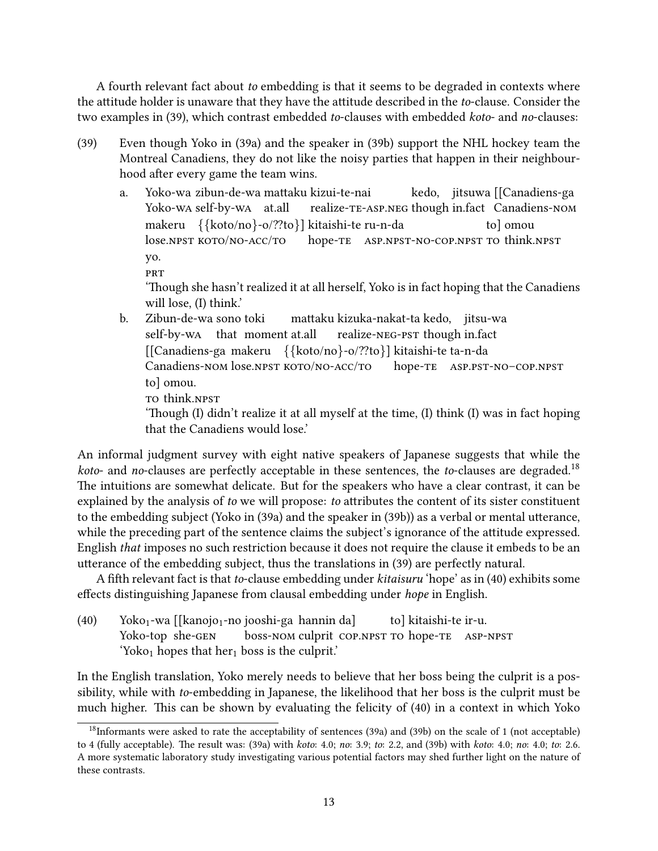A fourth relevant fact about to embedding is that it seems to be degraded in contexts where the attitude holder is unaware that they have the attitude described in the to-clause. Consider the two examples in [\(39\),](#page-12-0) which contrast embedded to-clauses with embedded koto- and no-clauses:

- <span id="page-12-1"></span><span id="page-12-0"></span>(39) Even though Yoko in [\(39a\)](#page-12-1) and the speaker in [\(39b\)](#page-12-2) support the NHL hockey team the Montreal Canadiens, they do not like the noisy parties that happen in their neighbourhood after every game the team wins.
	- a. Yoko-wa zibun-de-wa mattaku kizui-te-nai Yoko-wa self-by-wa at.all realize-te-asp.neg though in.fact Canadiens-nom kedo, jitsuwa [[Canadiens-ga makeru {{koto/no}-o/??to}] kitaishi-te ru-n-da lose.npst koto/no-acc/to hope-te asp.npst-no-cop.npst to think.npst to] omou yo. **PRT**

'Though she hasn't realized it at all herself, Yoko is in fact hoping that the Canadiens will lose, (I) think.'

<span id="page-12-2"></span>b. Zibun-de-wa sono toki self-by-wa that moment at.all mattaku kizuka-nakat-ta kedo, µiitsu-wa realize-neg-pst though in.fact [[Canadiens-ga makeru {{koto/no}-o/??to}] kitaishi-te ta-n-da Canadiens-NOM lose.NPST KOTO/NO-ACC/TO hope-te asp.pst-no–cop.npst to] omou. TO think.NPST 'Though (I) didn't realize it at all myself at the time,  $(I)$  think  $(I)$  was in fact hoping

that the Canadiens would lose.'

An informal judgment survey with eight native speakers of Japanese suggests that while the *koto-* and no-clauses are perfectly acceptable in these sentences, the to-clauses are degraded.<sup>[18](#page-12-3)</sup> The intuitions are somewhat delicate. But for the speakers who have a clear contrast, it can be explained by the analysis of to we will propose: to attributes the content of its sister constituent to the embedding subject (Yoko in [\(39a\)](#page-12-1) and the speaker in [\(39b\)\)](#page-12-2) as a verbal or mental utterance, while the preceding part of the sentence claims the subject's ignorance of the attitude expressed. English that imposes no such restriction because it does not require the clause it embeds to be an utterance of the embedding subject, thus the translations in [\(39\)](#page-12-0) are perfectly natural.

A fifth relevant fact is that to-clause embedding under kitaisuru 'hope' as in [\(40\)](#page-12-4) exhibits some effects distinguishing Japanese from clausal embedding under hope in English.

<span id="page-12-4"></span>(40) Yoko<sub>1</sub>-wa [[kanojo<sub>1</sub>-no jooshi-ga hannin da] Yoko-top she-gen **boss-nom culprit cop.npst to hope-te ASP-NPST** to] kitaishi-te ir-u. 'Yoko<sub>1</sub> hopes that her<sub>1</sub> boss is the culprit.'

In the English translation, Yoko merely needs to believe that her boss being the culprit is a possibility, while with to-embedding in Japanese, the likelihood that her boss is the culprit must be much higher. This can be shown by evaluating the felicity of  $(40)$  in a context in which Yoko

<span id="page-12-3"></span><sup>18</sup>Informants were asked to rate the acceptability of sentences [\(39a\)](#page-12-1) and [\(39b\)](#page-12-2) on the scale of 1 (not acceptable) to 4 (fully acceptable). The result was:  $(39a)$  with *koto*:  $4.0$ ; no:  $3.9$ ; to:  $2.2$ , and  $(39b)$  with *koto*:  $4.0$ ; no:  $4.0$ ; to:  $2.6$ . A more systematic laboratory study investigating various potential factors may shed further light on the nature of these contrasts.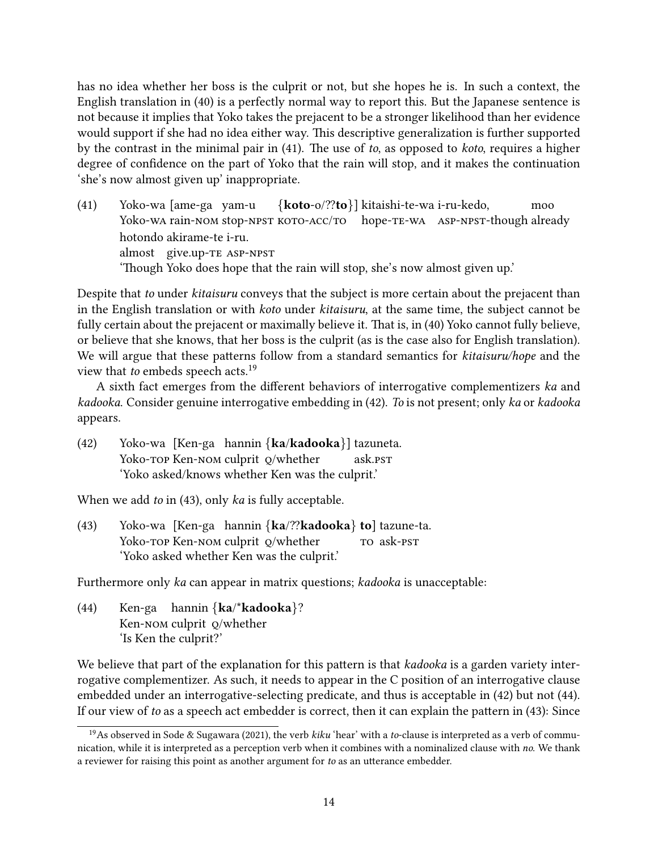has no idea whether her boss is the culprit or not, but she hopes he is. In such a context, the English translation in [\(40\)](#page-12-4) is a perfectly normal way to report this. But the Japanese sentence is not because it implies that Yoko takes the prejacent to be a stronger likelihood than her evidence would support if she had no idea either way. This descriptive generalization is further supported by the contrast in the minimal pair in  $(41)$ . The use of to, as opposed to koto, requires a higher degree of confidence on the part of Yoko that the rain will stop, and it makes the continuation 'she's now almost given up' inappropriate.

<span id="page-13-0"></span>(41) Yoko-wa [ame-ga yam-u Yoko-wa rain-nom stop-npst koto-acc/to hope-te-wa Asp-npst-though already {koto-o/??to}] kitaishi-te-wa i-ru-kedo, moo hotondo akirame-te i-ru. almost give.up-te asp-npst 'Though Yoko does hope that the rain will stop, she's now almost given up.'

Despite that to under *kitaisuru* conveys that the subject is more certain about the prejacent than in the English translation or with koto under kitaisuru, at the same time, the subject cannot be fully certain about the prejacent or maximally believe it. That is, in [\(40\)](#page-12-4) Yoko cannot fully believe, or believe that she knows, that her boss is the culprit (as is the case also for English translation). We will argue that these patterns follow from a standard semantics for kitaisuru/hope and the view that to embeds speech acts.<sup>[19](#page-13-1)</sup>

A sixth fact emerges from the different behaviors of interrogative complementizers ka and kadooka. Consider genuine interrogative embedding in [\(42\).](#page-13-2) To is not present; only ka or kadooka appears.

<span id="page-13-2"></span>(42) Yoko-wa [Ken-ga hannin {ka/kadooka}] tazuneta. Yoko-top Ken-Nom culprit o/whether ask.pst 'Yoko asked/knows whether Ken was the culprit.'

When we add *to* in [\(43\),](#page-13-3) only *ka* is fully acceptable.

<span id="page-13-3"></span>(43) Yoko-wa [Ken-ga hannin {ka/??kadooka} to] tazune-ta. Yoko-top Ken-Nom culprit o/whether to ask-pst 'Yoko asked whether Ken was the culprit.'

Furthermore only ka can appear in matrix questions; kadooka is unacceptable:

<span id="page-13-4"></span>(44) Ken-ga hannin {ka/\*kadooka}? Ken-nom culprit q/whether 'Is Ken the culprit?'

We believe that part of the explanation for this pattern is that kadooka is a garden variety interrogative complementizer. As such, it needs to appear in the C position of an interrogative clause embedded under an interrogative-selecting predicate, and thus is acceptable in [\(42\)](#page-13-2) but not [\(44\).](#page-13-4) If our view of to as a speech act embedder is correct, then it can explain the pattern in  $(43)$ : Since

<span id="page-13-1"></span><sup>&</sup>lt;sup>19</sup>As observed in [Sode & Sugawara](#page-35-7) [\(2021\)](#page-35-7), the verb kiku 'hear' with a to-clause is interpreted as a verb of communication, while it is interpreted as a perception verb when it combines with a nominalized clause with no. We thank a reviewer for raising this point as another argument for to as an utterance embedder.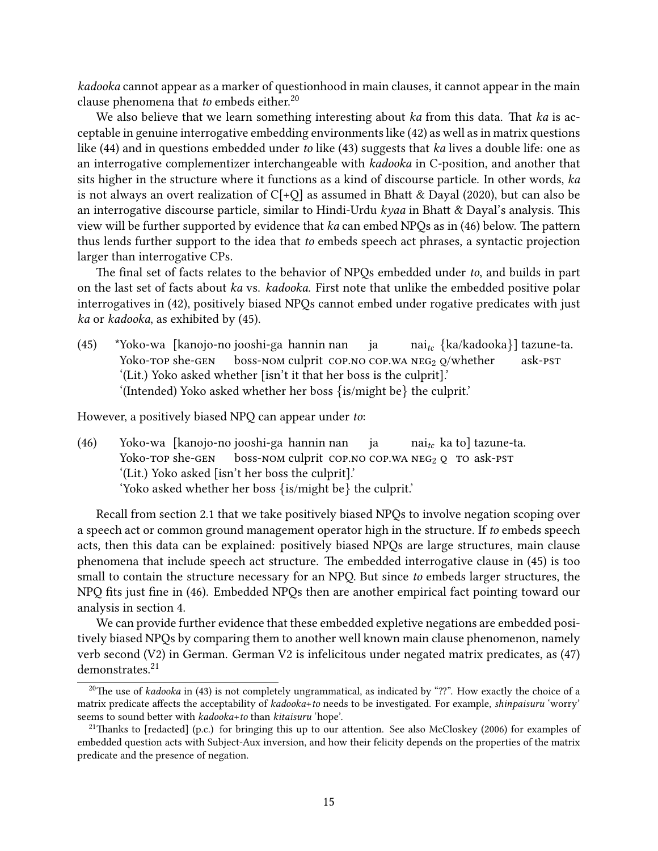kadooka cannot appear as a marker of questionhood in main clauses, it cannot appear in the main clause phenomena that to embeds either.<sup>[20](#page-14-0)</sup>

We also believe that we learn something interesting about  $ka$  from this data. That  $ka$  is acceptable in genuine interrogative embedding environments like [\(42\)](#page-13-2) as well as in matrix questions like [\(44\)](#page-13-4) and in questions embedded under to like [\(43\)](#page-13-3) suggests that ka lives a double life: one as an interrogative complementizer interchangeable with kadooka in C-position, and another that sits higher in the structure where it functions as a kind of discourse particle. In other words, ka is not always an overt realization of  $C[+Q]$  as assumed in Bhatt & Dayal [\(2020\)](#page-30-3), but can also be an interrogative discourse particle, similar to Hindi-Urdu  $kyaa$  in Bhatt & Dayal's analysis. This view will be further supported by evidence that  $ka$  can embed NPQs as in  $(46)$  below. The pattern thus lends further support to the idea that to embeds speech act phrases, a syntactic projection larger than interrogative CPs.

The final set of facts relates to the behavior of NPOs embedded under to, and builds in part on the last set of facts about ka vs. kadooka. First note that unlike the embedded positive polar interrogatives in [\(42\),](#page-13-2) positively biased NPQs cannot embed under rogative predicates with just ka or kadooka, as exhibited by [\(45\).](#page-14-2)

<span id="page-14-2"></span>(45) \*Yoko-wa [kanojo-no jooshi-ga hannin nan Yoko-top she-gen boss-nom culprit cop.no cop.wa NEG<sub>2</sub> Q/whether ja nai $_{tc}$   $\{$ ka/kadooka $\}$ ] tazune-ta. ask-pst '(Lit.) Yoko asked whether [isn't it that her boss is the culprit].' '(Intended) Yoko asked whether her boss {is/might be} the culprit.'

<span id="page-14-1"></span>However, a positively biased NPQ can appear under to:

(46) Yoko-wa [kanojo-no jooshi-ga hannin nan Yoko-top she-gen boss-nom culprit cop.no cop.wa NEG<sub>2</sub> Q TO ask-PST ja  $\text{nai}_{tc}$   $\text{ka}$  to] tazune-ta. '(Lit.) Yoko asked [isn't her boss the culprit].' 'Yoko asked whether her boss {is/might be} the culprit.'

Recall from section [2.1](#page-2-5) that we take positively biased NPQs to involve negation scoping over a speech act or common ground management operator high in the structure. If to embeds speech acts, then this data can be explained: positively biased NPQs are large structures, main clause phenomena that include speech act structure. The embedded interrogative clause in [\(45\)](#page-14-2) is too small to contain the structure necessary for an NPQ. But since to embeds larger structures, the NPQ fits just fine in [\(46\).](#page-14-1) Embedded NPQs then are another empirical fact pointing toward our analysis in section [4.](#page-15-0)

We can provide further evidence that these embedded expletive negations are embedded positively biased NPQs by comparing them to another well known main clause phenomenon, namely verb second (V2) in German. German V2 is infelicitous under negated matrix predicates, as [\(47\)](#page-14-3) demonstrates.<sup>[21](#page-14-4)</sup>

<span id="page-14-3"></span><span id="page-14-0"></span><sup>&</sup>lt;sup>20</sup>The use of kadooka in [\(43\)](#page-13-3) is not completely ungrammatical, as indicated by "??". How exactly the choice of a matrix predicate affects the acceptability of kadooka+to needs to be investigated. For example, shinpaisuru 'worry' seems to sound better with *kadooka+to* than *kitaisuru* 'hope'.

<span id="page-14-4"></span><sup>&</sup>lt;sup>21</sup>Thanks to [redacted] (p.c.) for bringing this up to our attention. See also [McCloskey](#page-33-8) [\(2006\)](#page-33-8) for examples of embedded question acts with Subject-Aux inversion, and how their felicity depends on the properties of the matrix predicate and the presence of negation.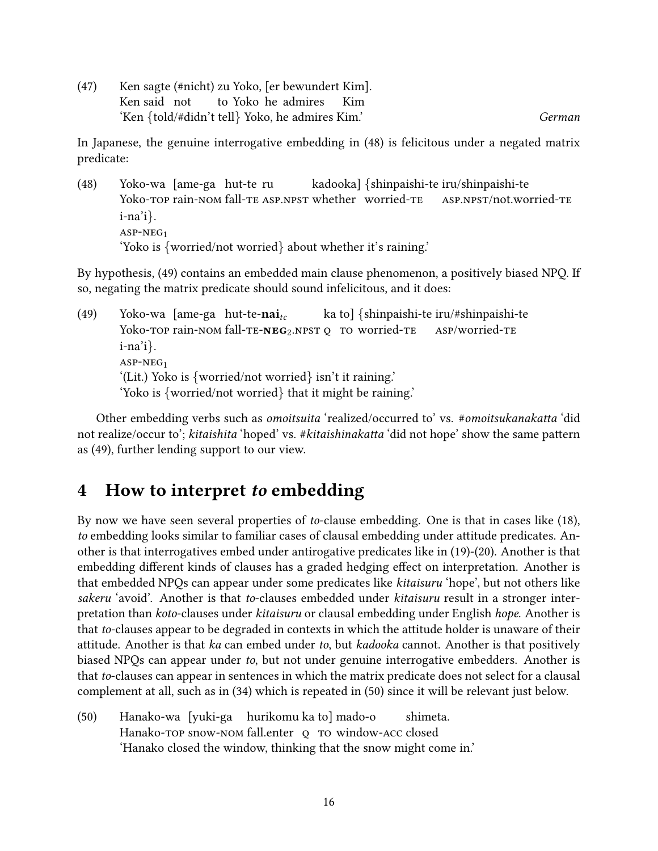(47) Ken sagte (#nicht) zu Yoko, [er bewundert Kim]. Ken said not to Yoko he admires Kim 'Ken {told/#didn't tell} Yoko, he admires Kim.' German

In Japanese, the genuine interrogative embedding in [\(48\)](#page-15-1) is felicitous under a negated matrix predicate:

<span id="page-15-1"></span>(48) Yoko-wa [ame-ga hut-te ru Yoko-top rain-NOM fall-te ASP.NPST whether worried-te kadooka] {shinpaishi-te iru/shinpaishi-te asp.npst/not.worried-te i-na'i}. asp-neg<sup>1</sup> 'Yoko is {worried/not worried} about whether it's raining.'

By hypothesis, [\(49\)](#page-15-2) contains an embedded main clause phenomenon, a positively biased NPQ. If so, negating the matrix predicate should sound infelicitous, and it does:

<span id="page-15-2"></span>(49) Yoko-wa [ame-ga hut-te-naiYoko-top rain-nom fall-te- $NEG_2.NPSTQ$  to worried-te ka to] {shinpaishi-te iru/#shinpaishi-te asp/worried-te i-na'i}.  $ASP-NEG<sub>1</sub>$ '(Lit.) Yoko is {worried/not worried} isn't it raining.' 'Yoko is {worried/not worried} that it might be raining.'

Other embedding verbs such as *omoitsuita* 'realized/occurred to' vs. #*omoitsukanakatta* 'did not realize/occur to'; kitaishita 'hoped' vs. #kitaishinakatta 'did not hope' show the same pattern as [\(49\),](#page-15-2) further lending support to our view.

## <span id="page-15-0"></span>4 How to interpret to embedding

By now we have seen several properties of to-clause embedding. One is that in cases like [\(18\),](#page-5-3) to embedding looks similar to familiar cases of clausal embedding under attitude predicates. Another is that interrogatives embed under antirogative predicates like in [\(19\)-](#page-5-4)[\(20\).](#page-6-0) Another is that embedding different kinds of clauses has a graded hedging effect on interpretation. Another is that embedded NPQs can appear under some predicates like kitaisuru 'hope', but not others like sakeru 'avoid'. Another is that to-clauses embedded under kitaisuru result in a stronger interpretation than koto-clauses under kitaisuru or clausal embedding under English hope. Another is that to-clauses appear to be degraded in contexts in which the attitude holder is unaware of their attitude. Another is that ka can embed under to, but kadooka cannot. Another is that positively biased NPQs can appear under to, but not under genuine interrogative embedders. Another is that to-clauses can appear in sentences in which the matrix predicate does not select for a clausal complement at all, such as in [\(34\)](#page-11-3) which is repeated in [\(50\)](#page-15-3) since it will be relevant just below.

<span id="page-15-3"></span>(50) Hanako-wa [yuki-ga hurikomu ka to] mado-o Hanako-top snow-nom fall.enter o to window-acc closed shimeta. 'Hanako closed the window, thinking that the snow might come in.'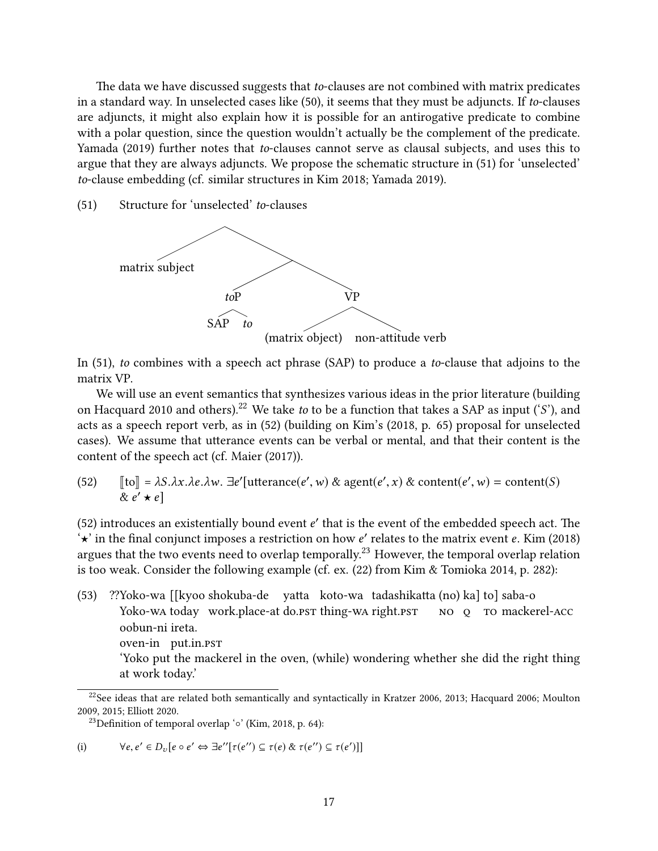The data we have discussed suggests that to-clauses are not combined with matrix predicates in a standard way. In unselected cases like [\(50\),](#page-15-3) it seems that they must be adjuncts. If to-clauses are adjuncts, it might also explain how it is possible for an antirogative predicate to combine with a polar question, since the question wouldn't actually be the complement of the predicate. [Yamada](#page-35-9) [\(2019\)](#page-35-9) further notes that to-clauses cannot serve as clausal subjects, and uses this to argue that they are always adjuncts. We propose the schematic structure in [\(51\)](#page-16-0) for 'unselected' to-clause embedding (cf. similar structures in [Kim 2018;](#page-32-5) [Yamada 2019\)](#page-35-9).

<span id="page-16-0"></span>(51) Structure for 'unselected' to-clauses



In [\(51\),](#page-16-0) to combines with a speech act phrase (SAP) to produce a to-clause that adjoins to the matrix VP.

We will use an event semantics that synthesizes various ideas in the prior literature (building on [Hacquard 2010](#page-31-10) and others).<sup>[22](#page-16-1)</sup> We take to to be a function that takes a SAP as input ('S'), and acts as a speech report verb, as in [\(52\)](#page-16-2) (building on [Kim'](#page-32-5)s [\(2018,](#page-32-5) p. 65) proposal for unselected cases). We assume that utterance events can be verbal or mental, and that their content is the content of the speech act (cf. [Maier](#page-33-9) [\(2017\)](#page-33-9)).

<span id="page-16-2"></span>(52)  $[[\text{to}]] = \lambda S.\lambda x.\lambda e.\lambda w. \exists e'[\text{utterance}(e', w) \& \text{agent}(e', x) \& \text{content}(e', w) = \text{content}(S)$  $\alpha e' \star e$ 

[\(52\)](#page-16-2) introduces an existentially bound event  $e'$  that is the event of the embedded speech act. The  $\mathcal{L}$  in the final conjunct imposes a restriction on how  $e'$  relates to the matrix event  $e$ . Kim (2018)  $\star$  in the final conjunct imposes a restriction on how e' relates to the matrix event e. [Kim](#page-32-5) [\(2018\)](#page-32-5) argues that the two events need to overlap temporally.<sup>[23](#page-16-3)</sup> However, the temporal overlap relation is too weak. Consider the following example (cf. ex. (22) from [Kim & Tomioka 2014,](#page-32-4) p. 282):

<span id="page-16-4"></span>(53) ??Yoko-wa [[kyoo shokuba-de vatta koto-wa tadashikatta (no) ka] to] saba-o Yoko-wa today work.place-at do.pst thing-wa right.pst NO O TO mackerel-ACC oobun-ni ireta. oven-in put.in.pst 'Yoko put the mackerel in the oven, (while) wondering whether she did the right thing at work today.'

(i) 
$$
\forall e, e' \in D_v[e \circ e' \Leftrightarrow \exists e''[\tau(e'') \subseteq \tau(e) \& \tau(e'') \subseteq \tau(e')]]
$$

<span id="page-16-1"></span><sup>&</sup>lt;sup>22</sup>See ideas that are related both semantically and syntactically in [Kratzer 2006,](#page-32-9) [2013;](#page-32-6) [Hacquard 2006;](#page-31-11) [Moulton](#page-33-10) [2009,](#page-33-10) [2015;](#page-33-11) Elliott 2020.

<span id="page-16-3"></span><sup>&</sup>lt;sup>23</sup>Definition of temporal overlap '◦' [\(Kim, 2018,](#page-32-5) p. 64):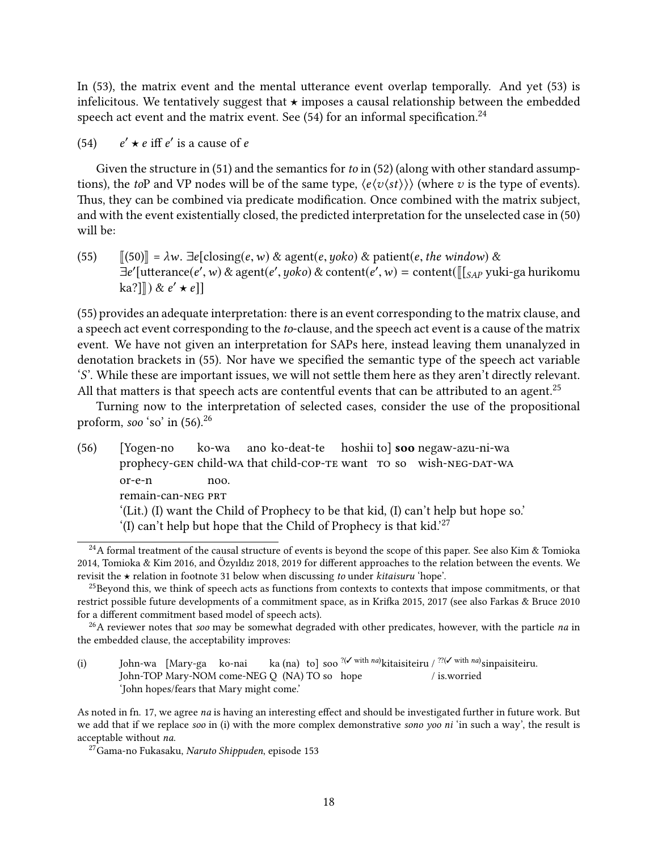In  $(53)$ , the matrix event and the mental utterance event overlap temporally. And yet  $(53)$  is infelicitous. We tentatively suggest that  $\star$  imposes a causal relationship between the embedded speech act event and the matrix event. See  $(54)$  for an informal specification.<sup>[24](#page-17-2)</sup>

<span id="page-17-1"></span> $(54)$  $\prime \star e$  iff  $e'$  is a cause of e

Given the structure in [\(51\)](#page-16-0) and the semantics for to in [\(52\)](#page-16-2) (along with other standard assumptions), the toP and VP nodes will be of the same type,  $\langle e \langle v \langle st \rangle \rangle$  (where v is the type of events). Thus, they can be combined via predicate modification. Once combined with the matrix subject, and with the event existentially closed, the predicted interpretation for the unselected case in [\(50\)](#page-15-3) will be:

<span id="page-17-3"></span>(55)  $\|[50]\| = \lambda w$ .  $\exists e[closing(e, w) \& agent(e, yoko) \& patient(e, the window) \&$  $\exists e'$ [utterance(e', w) & agent(e', yoko) & content(e', w) = content( $\left[\right]_{SAP}$  yuki-ga hurikomu ka?]]) &  $e' \star e$ ]]

[\(55\)](#page-17-3) provides an adequate interpretation: there is an event corresponding to the matrix clause, and a speech act event corresponding to the to-clause, and the speech act event is a cause of the matrix event. We have not given an interpretation for SAPs here, instead leaving them unanalyzed in denotation brackets in [\(55\).](#page-17-3) Nor have we specified the semantic type of the speech act variable 'S'. While these are important issues, we will not settle them here as they aren't directly relevant. All that matters is that speech acts are contentful events that can be attributed to an agent.<sup>[25](#page-17-4)</sup>

Turning now to the interpretation of selected cases, consider the use of the propositional proform, soo 'so' in  $(56)$ <sup>[26](#page-17-0)</sup>

<span id="page-17-5"></span>(56) [Yogen-no prophecy-gen child-wa that child-cop-te want to so wish-neg-dat-wa ko-wa ano ko-deat-te hoshii tol soo negaw-azu-ni-wa or-e-n remain-can-NEG PRT noo. '(Lit.) (I) want the Child of Prophecy to be that kid, (I) can't help but hope so.' '(I) can't help but hope that the Child of Prophecy is that kid.'<sup>[27](#page-17-6)</sup>

<span id="page-17-2"></span><sup>&</sup>lt;sup>24</sup>A formal treatment of the causal structure of events is beyond the scope of this paper. See also [Kim & Tomioka](#page-32-4) [2014,](#page-32-4) [Tomioka & Kim 2016,](#page-35-5) and Özyıldız 2018, [2019](#page-34-9) for different approaches to the relation between the events. We revisit the  $\star$  relation in footnote [31](#page-19-0) below when discussing to under kitaisuru 'hope'.

<span id="page-17-4"></span><sup>&</sup>lt;sup>25</sup>Beyond this, we think of speech acts as functions from contexts to contexts that impose commitments, or that restrict possible future developments of a commitment space, as in Krifka 2015, [2017](#page-32-2) (see also [Farkas & Bruce 2010](#page-31-13) for a different commitment based model of speech acts).

<span id="page-17-0"></span> $^{26}$ A reviewer notes that soo may be somewhat degraded with other predicates, however, with the particle *na* in the embedded clause, the acceptability improves:

<sup>(</sup>i) John-wa [Mary-ga ko-nai John-TOP Mary-NOM come-NEG Q (NA) TO so hope ka (na) tol soo<sup>?(/with na)</sup>kitaisiteiru /<sup>??(/with na)</sup>sinpaisiteiru. / is.worried 'John hopes/fears that Mary might come.'

As noted in fn. [17,](#page-9-6) we agree na is having an interesting effect and should be investigated further in future work. But we add that if we replace soo in (i) with the more complex demonstrative sono yoo ni 'in such a way', the result is acceptable without na.

<span id="page-17-6"></span><sup>27</sup>Gama-no Fukasaku, Naruto Shippuden, episode 153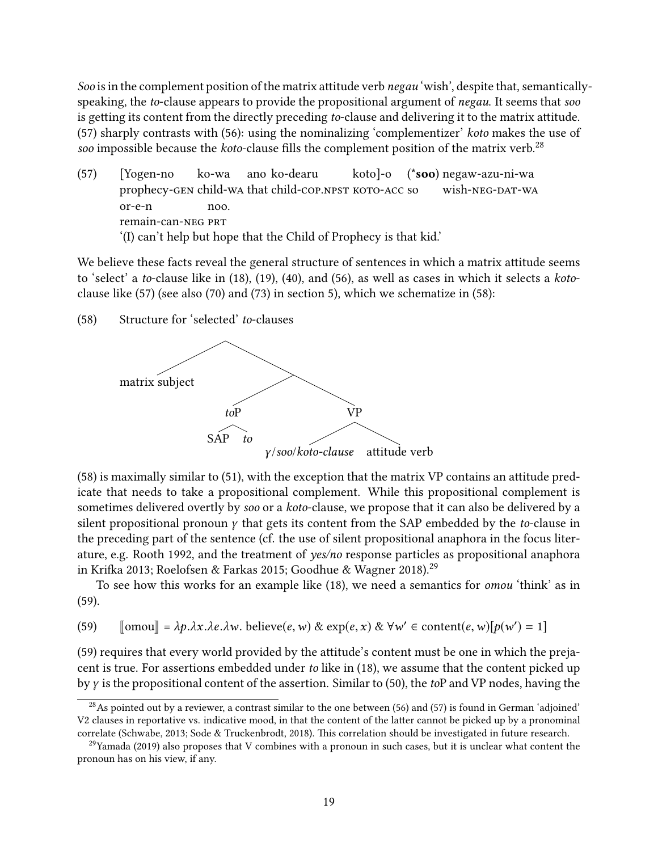Soo is in the complement position of the matrix attitude verb negau 'wish', despite that, semanticallyspeaking, the to-clause appears to provide the propositional argument of *negau*. It seems that *soo* is getting its content from the directly preceding to-clause and delivering it to the matrix attitude. [\(57\)](#page-18-0) sharply contrasts with [\(56\):](#page-17-5) using the nominalizing 'complementizer' koto makes the use of soo impossible because the *koto-clause* fills the complement position of the matrix verb.<sup>[28](#page-18-1)</sup>

<span id="page-18-0"></span>(57) [Yogen-no prophecy-gen child-wa that child-cop.npst koto-acc so ko-wa ano ko-dearu koto]-o (\*soo) negaw-azu-ni-wa wish-NEG-DAT-WA or-e-n remain-can-NEG PRT noo. '(I) can't help but hope that the Child of Prophecy is that kid.'

We believe these facts reveal the general structure of sentences in which a matrix attitude seems to 'select' a to-clause like in [\(18\),](#page-5-3) [\(19\),](#page-5-4) [\(40\),](#page-12-4) and [\(56\),](#page-17-5) as well as cases in which it selects a kotoclause like [\(57\)](#page-18-0) (see also [\(70\)](#page-24-0) and [\(73\)](#page-25-0) in section [5\)](#page-23-0), which we schematize in [\(58\):](#page-18-2)

<span id="page-18-2"></span>(58) Structure for 'selected' to-clauses



 $(58)$  is maximally similar to  $(51)$ , with the exception that the matrix VP contains an attitude predicate that needs to take a propositional complement. While this propositional complement is sometimes delivered overtly by soo or a koto-clause, we propose that it can also be delivered by a silent propositional pronoun  $\gamma$  that gets its content from the SAP embedded by the to-clause in the preceding part of the sentence (cf. the use of silent propositional anaphora in the focus literature, e.g. [Rooth 1992,](#page-34-11) and the treatment of yes/no response particles as propositional anaphora in Krifka 2013; [Roelofsen & Farkas 2015;](#page-34-12) [Goodhue & Wagner 2018\)](#page-31-14).<sup>[29](#page-18-3)</sup>

To see how this works for an example like [\(18\),](#page-5-3) we need a semantics for omou 'think' as in [\(59\).](#page-18-4)

<span id="page-18-4"></span>(59)  $\text{[omou]} = \lambda p.\lambda x.\lambda e.\lambda w. \text{ believe}(e, w) \& \exp(e, x) \& \forall w' \in \text{content}(e, w)[p(w') = 1]$ 

[\(59\)](#page-18-4) requires that every world provided by the attitude's content must be one in which the prejacent is true. For assertions embedded under to like in [\(18\),](#page-5-3) we assume that the content picked up byγ is the propositional content of the assertion. Similar to [\(50\),](#page-15-3) the toP and VP nodes, having the

<span id="page-18-1"></span> $^{28}$ As pointed out by a reviewer, a contrast similar to the one between [\(56\)](#page-17-5) and [\(57\)](#page-18-0) is found in German 'adjoined' V2 clauses in reportative vs. indicative mood, in that the content of the latter cannot be picked up by a pronominal correlate [\(Schwabe, 2013;](#page-35-10) [Sode & Truckenbrodt, 2018\)](#page-35-11). This correlation should be investigated in future research.

<span id="page-18-3"></span> $^{29}$ [Yamada](#page-35-9) [\(2019\)](#page-35-9) also proposes that V combines with a pronoun in such cases, but it is unclear what content the pronoun has on his view, if any.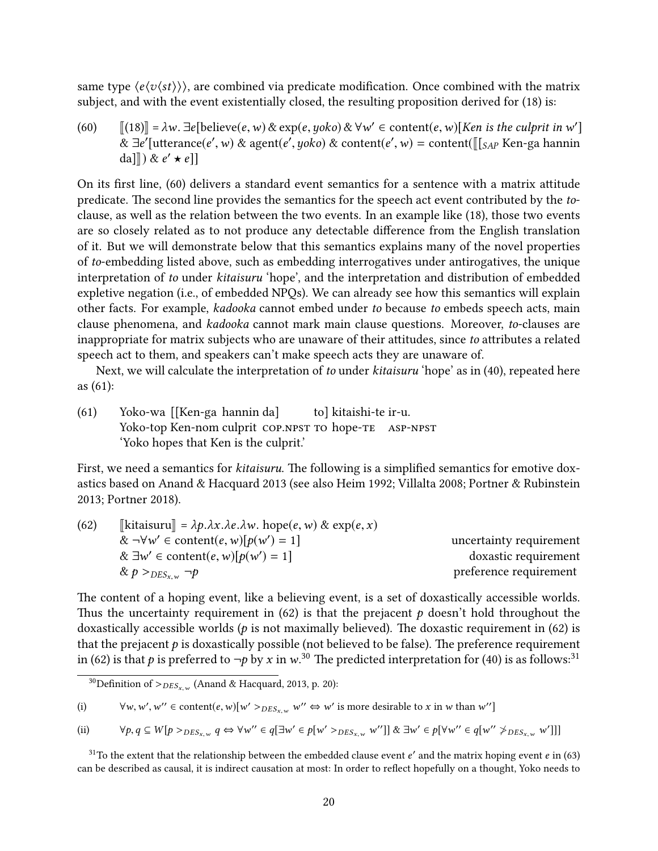same type  $\langle e \langle v \langle st \rangle \rangle$ , are combined via predicate modification. Once combined with the matrix subject, and with the event existentially closed, the resulting proposition derived for [\(18\)](#page-5-3) is:

<span id="page-19-1"></span>(60)  $[[18]] = \lambda w$ .  $\exists e$ [believe(e, w) & exp(e, yoko) &  $\forall w' \in \text{content}(e, w)$ [Ken is the culprit in w']<br>  $\& \exists e'$ [utterance(e', w) & agent(e', yoko) & content(e', w) = content( $[[a]_x]$  Ken-ga bannin &  $\exists e'$ [utterance(e', w) & agent(e', yoko) & content(e', w) = content( $[[s_{AP}$  Ken-ga hannin da]]) &  $e' \star e$ ]]

On its first line, [\(60\)](#page-19-1) delivers a standard event semantics for a sentence with a matrix attitude predicate. The second line provides the semantics for the speech act event contributed by the toclause, as well as the relation between the two events. In an example like [\(18\),](#page-5-3) those two events are so closely related as to not produce any detectable difference from the English translation of it. But we will demonstrate below that this semantics explains many of the novel properties of to-embedding listed above, such as embedding interrogatives under antirogatives, the unique interpretation of to under kitaisuru 'hope', and the interpretation and distribution of embedded expletive negation (i.e., of embedded NPQs). We can already see how this semantics will explain other facts. For example, kadooka cannot embed under to because to embeds speech acts, main clause phenomena, and kadooka cannot mark main clause questions. Moreover, to-clauses are inappropriate for matrix subjects who are unaware of their attitudes, since to attributes a related speech act to them, and speakers can't make speech acts they are unaware of.

Next, we will calculate the interpretation of to under kitaisuru 'hope' as in [\(40\),](#page-12-4) repeated here as [\(61\):](#page-19-2)

<span id="page-19-2"></span>(61) Yoko-wa [[Ken-ga hannin da] Yoko-top Ken-nom culprit COP.NPST TO hope-TE ASP-NPST to] kitaishi-te ir-u. 'Yoko hopes that Ken is the culprit.'

First, we need a semantics for kitaisuru. The following is a simplified semantics for emotive doxastics based on [Anand & Hacquard 2013](#page-30-4) (see also [Heim 1992;](#page-31-15) [Villalta 2008;](#page-35-12) [Portner & Rubinstein](#page-34-13) [2013;](#page-34-13) [Portner 2018\)](#page-34-14).

<span id="page-19-3"></span>

| (62) | $\llbracket$ kitaisuru $\rrbracket = \lambda p. \lambda x. \lambda e. \lambda w.$ hope $(e, w) \& exp(e, x)$ |                         |
|------|--------------------------------------------------------------------------------------------------------------|-------------------------|
|      | $\& \neg\forall w' \in \text{content}(e, w)[p(w') = 1]$                                                      | uncertainty requirement |
|      | & $\exists w' \in \text{content}(e, w)[p(w') = 1]$                                                           | doxastic requirement    |
|      | & $p >_{DES_{x,w}} \neg p$                                                                                   | preference requirement  |
|      |                                                                                                              |                         |

The content of a hoping event, like a believing event, is a set of doxastically accessible worlds. Thus the uncertainty requirement in [\(62\)](#page-19-3) is that the prejacent  $p$  doesn't hold throughout the doxastically accessible worlds ( $p$  is not maximally believed). The doxastic requirement in [\(62\)](#page-19-3) is that the prejacent  $p$  is doxastically possible (not believed to be false). The preference requirement in [\(62\)](#page-19-3) is that p is preferred to  $\neg p$  by x in w.<sup>[30](#page-19-4)</sup> The predicted interpretation for [\(40\)](#page-12-4) is as follows:<sup>[31](#page-19-0)</sup>

(i) 
$$
\forall w, w', w'' \in \text{content}(e, w)[w' >_{DES_{x,w}} w'' \Leftrightarrow w' \text{ is more desirable to } x \text{ in } w \text{ than } w'']
$$

(ii) 
$$
\forall p, q \in W[p >_{DES_{x,w}} q \Leftrightarrow \forall w'' \in q[\exists w' \in p[w' >_{DES_{x,w}} w'']]
$$
 &  $\exists w' \in p[\forall w'' \in q[w'' \not>_{DES_{x,w}} w']]$ 

<span id="page-19-0"></span><sup>31</sup>To the extent that the relationship between the embedded clause event  $e'$  and the matrix hoping event  $e$  in [\(63\)](#page-19-5) and the matrix hoping event  $e$  in (63) and the matrix hope of the matrix hope of the matrix hope of t can be described as causal, it is indirect causation at most: In order to reflect hopefully on a thought, Yoko needs to

<span id="page-19-5"></span><span id="page-19-4"></span><sup>&</sup>lt;sup>30</sup>Definition of  $>_{DES_{x,w}}$  [\(Anand & Hacquard, 2013,](#page-30-4) p. 20):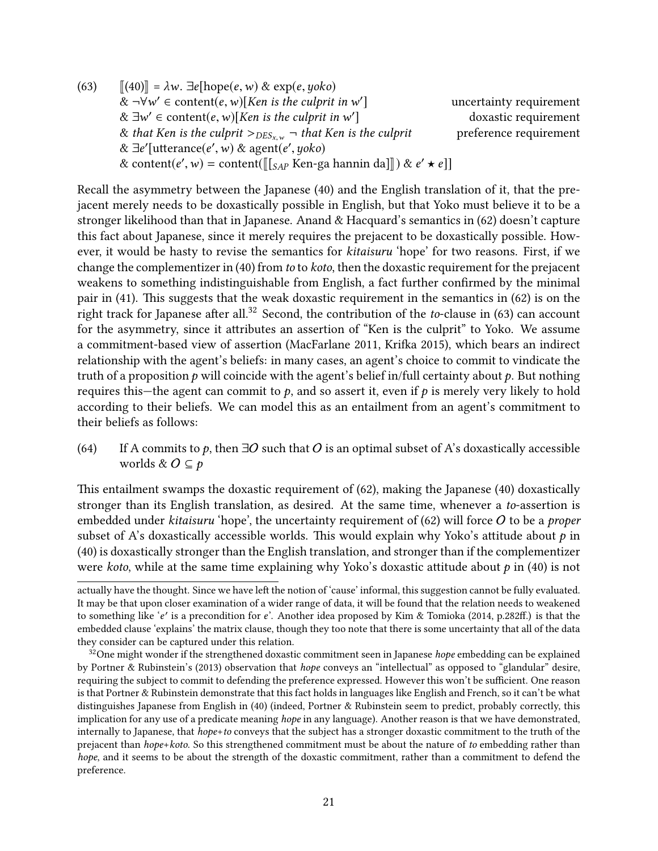(63)  $\|(40)\| = \lambda w$  $\|(40)\| = \lambda w$  $\|(40)\| = \lambda w$ .  $\exists e[\text{hope}(e,w) \& \exp(e,yoko)]$  $\&$   $\neg\forall w' \in \text{content}(e, w)[\text{Ken is the culprint in } w']$ <br> $\&$   $\exists w' \in \text{content}(e, w)[\text{Ken is the culprint in } w']$ uncertainty requirement &  $\exists w' \in \text{content}(e, w)[\text{Ken is the culprint in } w'$ <br>& that Ken is the culprit  $\sum_{v \in S}$  as that Ken is doxastic requirement & that Ken is the culprit  $>_{DES_{x,w}}$   $\lnot$  that Ken is the culprit preference requirement &  $\exists e'$ [utterance(e', w) & agent(e', yoko)<br>& content(e', w) = content( $\mathbb{I}_{\{e\}}$  Ken-g) & content( $e', w$ ) = content( $[[S_{AP}$  Ken-ga hannin da]]) &  $e' \star e$ ]]

Recall the asymmetry between the Japanese [\(40\)](#page-12-4) and the English translation of it, that the prejacent merely needs to be doxastically possible in English, but that Yoko must believe it to be a stronger likelihood than that in Japanese. Anand & Hacquard's semantics in [\(62\)](#page-19-3) doesn't capture this fact about Japanese, since it merely requires the prejacent to be doxastically possible. However, it would be hasty to revise the semantics for kitaisuru 'hope' for two reasons. First, if we change the complementizer in [\(40\)](#page-12-4) from to to koto, then the doxastic requirement for the prejacent weakens to something indistinguishable from English, a fact further confirmed by the minimal pair in  $(41)$ . This suggests that the weak doxastic requirement in the semantics in  $(62)$  is on the right track for Japanese after all.<sup>[32](#page-20-0)</sup> Second, the contribution of the *to*-clause in  $(63)$  can account for the asymmetry, since it attributes an assertion of "Ken is the culprit" to Yoko. We assume a commitment-based view of assertion [\(MacFarlane 2011,](#page-33-12) Krifka 2015), which bears an indirect relationship with the agent's beliefs: in many cases, an agent's choice to commit to vindicate the truth of a proposition  $p$  will coincide with the agent's belief in/full certainty about  $p$ . But nothing requires this—the agent can commit to  $p$ , and so assert it, even if  $p$  is merely very likely to hold according to their beliefs. We can model this as an entailment from an agent's commitment to their beliefs as follows:

<span id="page-20-1"></span>(64) If A commits to p, then  $\exists O$  such that O is an optimal subset of A's doxastically accessible worlds &  $O \subseteq p$ 

This entailment swamps the doxastic requirement of  $(62)$ , making the Japanese  $(40)$  doxastically stronger than its English translation, as desired. At the same time, whenever a to-assertion is embedded under kitaisuru 'hope', the uncertainty requirement of  $(62)$  will force O to be a proper subset of A's doxastically accessible worlds. This would explain why Yoko's attitude about  $p$  in [\(40\)](#page-12-4) is doxastically stronger than the English translation, and stronger than if the complementizer were koto, while at the same time explaining why Yoko's doxastic attitude about  $p$  in [\(40\)](#page-12-4) is not

actually have the thought. Since we have left the notion of 'cause' informal, this suggestion cannot be fully evaluated. It may be that upon closer examination of a wider range of data, it will be found that the relation needs to weakened to something like 'e' is a precondition for e'. Another idea proposed by [Kim & Tomioka](#page-32-4) [\(2014,](#page-32-4) p.282ff.) is that the<br>embedded clause 'explains' the matrix clause, though they too note that there is some uncertainty that all embedded clause 'explains' the matrix clause, though they too note that there is some uncertainty that all of the data they consider can be captured under this relation.

<span id="page-20-0"></span> $32$ One might wonder if the strengthened doxastic commitment seen in Japanese *hope* embedding can be explained by [Portner & Rubinstein'](#page-34-13)s [\(2013\)](#page-34-13) observation that *hope* conveys an "intellectual" as opposed to "glandular" desire, requiring the subject to commit to defending the preference expressed. However this won't be sufficient. One reason is that Portner & Rubinstein demonstrate that this fact holds in languages like English and French, so it can't be what distinguishes Japanese from English in [\(40\)](#page-12-4) (indeed, Portner & Rubinstein seem to predict, probably correctly, this implication for any use of a predicate meaning *hope* in any language). Another reason is that we have demonstrated, internally to Japanese, that hope+to conveys that the subject has a stronger doxastic commitment to the truth of the prejacent than hope+koto. So this strengthened commitment must be about the nature of to embedding rather than hope, and it seems to be about the strength of the doxastic commitment, rather than a commitment to defend the preference.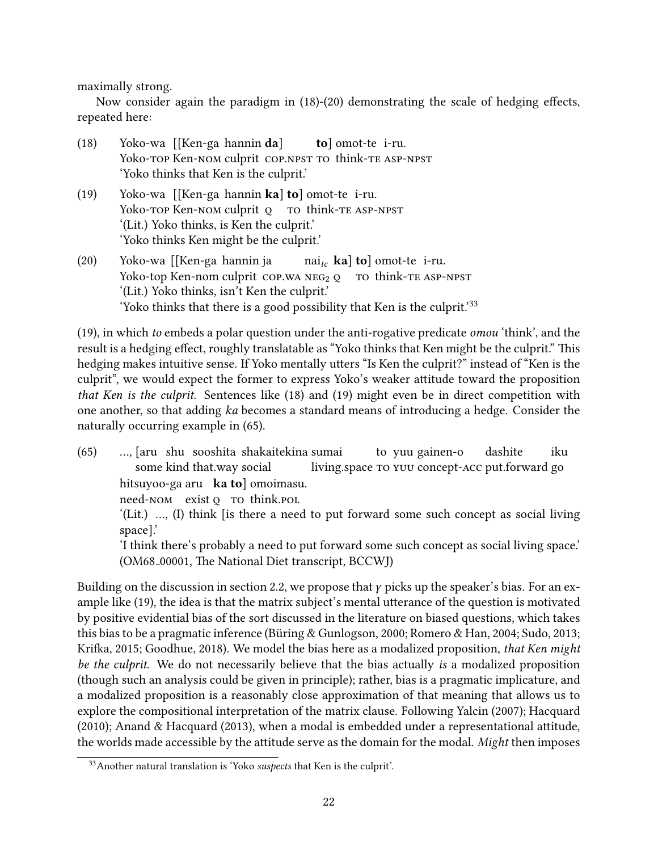maximally strong.

Now consider again the paradigm in  $(18)-(20)$  $(18)-(20)$  demonstrating the scale of hedging effects, repeated here:

- [\(18\)](#page-5-3) Yoko-wa [[Ken-ga hannin da] Yoko-top Ken-nom culprit cop.npst to think-te ASP-NPST tol omot-te i-ru. 'Yoko thinks that Ken is the culprit.'
- [\(19\)](#page-5-4) Yoko-wa [[Ken-ga hannin ka] to] omot-te i-ru. Yoko-top Ken-Nom culprit o to think-te ASP-NPST '(Lit.) Yoko thinks, is Ken the culprit.' 'Yoko thinks Ken might be the culprit.'
- [\(20\)](#page-6-0) Yoko-wa [[Ken-ga hannin ja Yoko-top Ken-nom culprit  $\text{COP.WA NEG}_{2Q}$  To think-TE ASP-NPST  $\text{nai}_{tc}$  ka] to] omot-te i-ru. '(Lit.) Yoko thinks, isn't Ken the culprit.' 'Yoko thinks that there is a good possibility that Ken is the culprit.<sup>'[33](#page-21-0)</sup>

[\(19\),](#page-5-4) in which to embeds a polar question under the anti-rogative predicate omou 'think', and the result is a hedging effect, roughly translatable as "Yoko thinks that Ken might be the culprit." This hedging makes intuitive sense. If Yoko mentally utters "Is Ken the culprit?" instead of "Ken is the culprit", we would expect the former to express Yoko's weaker attitude toward the proposition that Ken is the culprit. Sentences like [\(18\)](#page-5-3) and [\(19\)](#page-5-4) might even be in direct competition with one another, so that adding ka becomes a standard means of introducing a hedge. Consider the naturally occurring example in [\(65\).](#page-21-1)

<span id="page-21-1"></span>(65) …, [aru shu sooshita shakaitekina sumai some kind that.way social living space to yuu concept-acc put forward go to vuu gainen-o dashite iku hitsuvoo-ga aru ka tol omoimasu.

need-NOM exist o To think.pol

'(Lit.) …, (I) think [is there a need to put forward some such concept as social living space].'

'I think there's probably a need to put forward some such concept as social living space.' (OM68<sub>-00001</sub>, The National Diet transcript, BCCWJ)

Building on the discussion in section [2.2,](#page-5-6) we propose that  $\gamma$  picks up the speaker's bias. For an ex-ample like [\(19\),](#page-5-4) the idea is that the matrix subject's mental utterance of the question is motivated by positive evidential bias of the sort discussed in the literature on biased questions, which takes this bias to be a pragmatic inference [\(Buring & Gunlogson, 2000;](#page-30-2) [Romero & Han, 2004;](#page-34-0) [Sudo, 2013;](#page-35-1) ¨ Krifka, 2015; [Goodhue, 2018\)](#page-31-4). We model the bias here as a modalized proposition, that Ken might be the culprit. We do not necessarily believe that the bias actually is a modalized proposition (though such an analysis could be given in principle); rather, bias is a pragmatic implicature, and a modalized proposition is a reasonably close approximation of that meaning that allows us to explore the compositional interpretation of the matrix clause. Following [Yalcin](#page-35-13) [\(2007\)](#page-35-13); [Hacquard](#page-31-10) [\(2010\)](#page-31-10); [Anand & Hacquard](#page-30-4) [\(2013\)](#page-30-4), when a modal is embedded under a representational attitude, the worlds made accessible by the attitude serve as the domain for the modal. Might then imposes

<span id="page-21-0"></span><sup>33</sup>Another natural translation is 'Yoko suspects that Ken is the culprit'.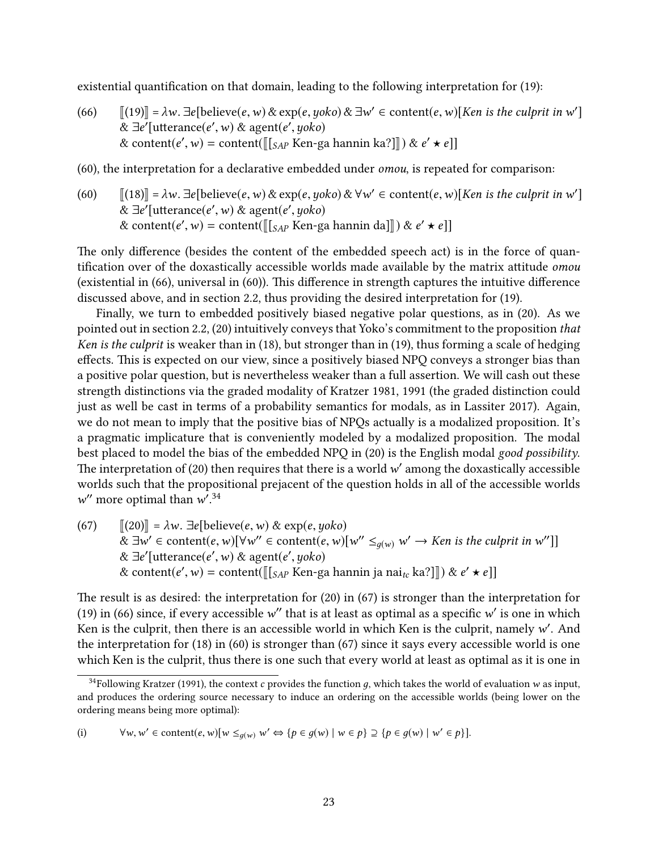existential quantification on that domain, leading to the following interpretation for  $(19)$ :

- <span id="page-22-0"></span>(66)  $[[(19)] = \lambda w$  $[[(19)] = \lambda w$  $[[(19)] = \lambda w$ . ∃e[believe(e, w) & exp(e, yoko) & ∃w' ∈ content(e, w)[Ken is the culprit in w']<br>& ∃e'[utterance(e', w) & agent(e', yoko) &  $\exists e'$ [utterance(e', w) & agent(e', yoko)<br>& content(e', w) = content( $\mathbb{I}_{\{e\}}$  Ken-g) & content $(e', w)$  = content( $[[s_{AP}$  Ken-ga hannin ka?]]) &  $e' \star e$ ]]
- [\(60\),](#page-19-1) the interpretation for a declarative embedded under omou, is repeated for comparison:
- [\(60\)](#page-19-1)  $[[(18)]] = \lambda w$  $[[(18)]] = \lambda w$  $[[(18)]] = \lambda w$ .  $\exists e$ [believe(e, w) & exp(e, yoko) &  $\forall w' \in \text{content}(e, w)$ [Ken is the culprit in w']<br>  $\& \exists e'$ [utterance(e', w) & agent(e', yoko) &  $\exists e'$ [utterance(e', w) & agent(e', yoko)<br>& content(e', w) = content( $\mathbb{I}_{\{e\}}$  Ken-g) & content( $e', w$ ) = content( $[[S_{AP}$  Ken-ga hannin da]]) &  $e' \star e$ ]]

The only difference (besides the content of the embedded speech act) is in the force of quantification over of the doxastically accessible worlds made available by the matrix attitude *omou* (existential in  $(66)$ , universal in  $(60)$ ). This difference in strength captures the intuitive difference discussed above, and in section [2.2,](#page-5-6) thus providing the desired interpretation for [\(19\).](#page-5-4)

Finally, we turn to embedded positively biased negative polar questions, as in [\(20\).](#page-6-0) As we pointed out in section [2.2,](#page-5-6) [\(20\)](#page-6-0) intuitively conveys that Yoko's commitment to the proposition that Ken is the culprit is weaker than in [\(18\),](#page-5-3) but stronger than in [\(19\),](#page-5-4) thus forming a scale of hedging effects. This is expected on our view, since a positively biased NPQ conveys a stronger bias than a positive polar question, but is nevertheless weaker than a full assertion. We will cash out these strength distinctions via the graded modality of [Kratzer 1981,](#page-32-11) [1991](#page-32-12) (the graded distinction could just as well be cast in terms of a probability semantics for modals, as in [Lassiter 2017\)](#page-32-13). Again, we do not mean to imply that the positive bias of NPQs actually is a modalized proposition. It's a pragmatic implicature that is conveniently modeled by a modalized proposition. The modal best placed to model the bias of the embedded NPQ in [\(20\)](#page-6-0) is the English modal good possibility. The interpretation of  $(20)$  then requires that there is a world  $w'$  among the doxastically accessible<br>worlds such that the propositional prejacent of the question holds in all of the accessible worlds worlds such that the propositional prejacent of the question holds in all of the accessible worlds " more optimal than  $w^2$ .<sup>[34](#page-22-1)</sup>

<span id="page-22-2"></span>(67)  $\|(20)\| = \lambda w$  $\|(20)\| = \lambda w$  $\|(20)\| = \lambda w$ .  $\exists e$ [believe(e, w) & exp(e, yoko) &  $\exists w' \in \text{content}(e, w)[\forall w'' \in \text{content}(e, w)[w'' \leq_{g(w)} w' \rightarrow \text{Ken is the culprit in } w'']$ <br>&  $\exists e'$  [utterance(e' w) & agent(e' ugko) &  $\exists e'$ [utterance(e', w) & agent(e', yoko)<br>& content(e', w) = content( $\mathbb{E}_{\{e\}}$  Ken-g) & content $(e', w) =$  content $([\![s_{AP}$  Ken-ga hannin ja nai $_{tc}$  ka?]]) &  $e' \star e$ ]]

The result is as desired: the interpretation for  $(20)$  in  $(67)$  is stronger than the interpretation for [\(19\)](#page-5-4) in [\(66\)](#page-22-0) since, if every accessible w" that is at least as optimal as a specific w' is one in which<br>Ken is the culprit, then there is an accessible world in which Ken is the culprit, namely w'. And Ken is the culprit, then there is an accessible world in which Ken is the culprit, namely w'. And<br>the interpretation for (18) in (60) is stronger than (67) since it save every accessible world is one the interpretation for [\(18\)](#page-5-3) in [\(60\)](#page-19-1) is stronger than [\(67\)](#page-22-2) since it says every accessible world is one which Ken is the culprit, thus there is one such that every world at least as optimal as it is one in

(i) 
$$
\forall w, w' \in \text{content}(e, w)[w \leq_{g(w)} w' \Leftrightarrow \{p \in g(w) \mid w \in p\} \supseteq \{p \in g(w) \mid w' \in p\}].
$$

<span id="page-22-1"></span><sup>&</sup>lt;sup>34</sup>Following [Kratzer](#page-32-12) [\(1991\)](#page-32-12), the context c provides the function q, which takes the world of evaluation w as input, and produces the ordering source necessary to induce an ordering on the accessible worlds (being lower on the ordering means being more optimal):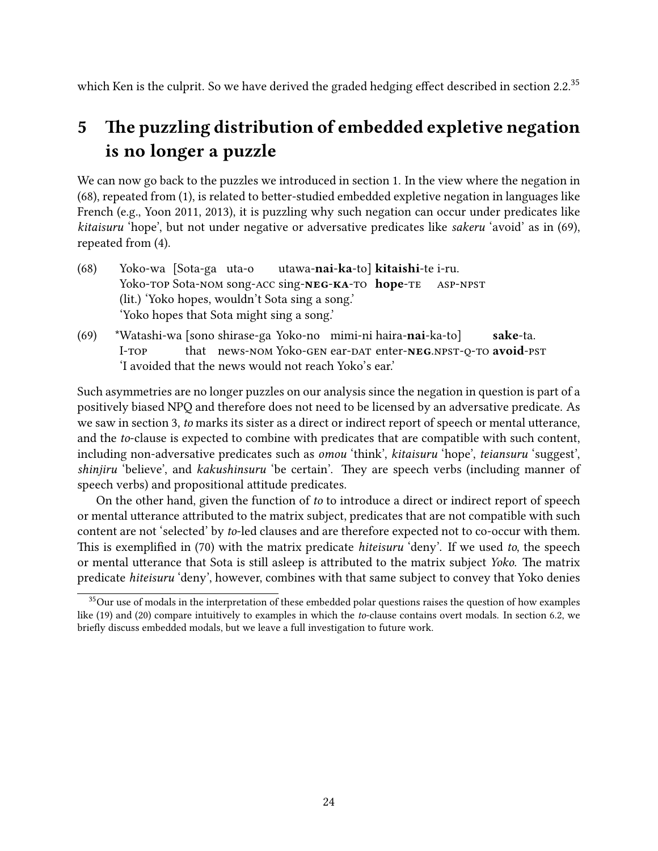which Ken is the culprit. So we have derived the graded hedging effect described in section [2.2.](#page-5-6) $^{35}$  $^{35}$  $^{35}$ 

## <span id="page-23-0"></span>5 The puzzling distribution of embedded expletive negation is no longer a puzzle

We can now go back to the puzzles we introduced in section [1.](#page-0-3) In the view where the negation in  $(68)$ , repeated from  $(1)$ , is related to better-studied embedded expletive negation in languages like French (e.g., [Yoon 2011,](#page-35-0) [2013\)](#page-36-0), it is puzzling why such negation can occur under predicates like kitaisuru 'hope', but not under negative or adversative predicates like sakeru 'avoid' as in [\(69\),](#page-23-3) repeated from [\(4\).](#page-1-2)

- <span id="page-23-2"></span>(68) Yoko-wa [Sota-ga uta-o Yoko-top Sota-Nom song-ACC sing-NEG-KA-TO hope-TE utawa-**nai-ka-**tol **kitaishi-**te i-ru. asp-npst (lit.) 'Yoko hopes, wouldn't Sota sing a song.' 'Yoko hopes that Sota might sing a song.'
- <span id="page-23-3"></span>(69) \*Watashi-wa [sono shirase-ga Yoko-no mimi-ni haira-nai-ka-to] I-TOP that news-nom Yoko-gen ear-dat enter-**neg** NPST-O-TO avoid-PST sake-ta. 'I avoided that the news would not reach Yoko's ear.'

Such asymmetries are no longer puzzles on our analysis since the negation in question is part of a positively biased NPQ and therefore does not need to be licensed by an adversative predicate. As we saw in section [3,](#page-7-0) to marks its sister as a direct or indirect report of speech or mental utterance, and the to-clause is expected to combine with predicates that are compatible with such content, including non-adversative predicates such as omou 'think', kitaisuru 'hope', teiansuru 'suggest', shinjiru 'believe', and kakushinsuru 'be certain'. They are speech verbs (including manner of speech verbs) and propositional attitude predicates.

On the other hand, given the function of to to introduce a direct or indirect report of speech or mental utterance attributed to the matrix subject, predicates that are not compatible with such content are not 'selected' by to-led clauses and are therefore expected not to co-occur with them. This is exemplified in [\(70\)](#page-24-0) with the matrix predicate hiteisuru 'deny'. If we used to, the speech or mental utterance that Sota is still asleep is attributed to the matrix subject Yoko. The matrix predicate hiteisuru 'deny', however, combines with that same subject to convey that Yoko denies

<span id="page-23-1"></span><sup>&</sup>lt;sup>35</sup>Our use of modals in the interpretation of these embedded polar questions raises the question of how examples like [\(19\)](#page-5-4) and [\(20\)](#page-6-0) compare intuitively to examples in which the to-clause contains overt modals. In section [6.2,](#page-28-0) we briefly discuss embedded modals, but we leave a full investigation to future work.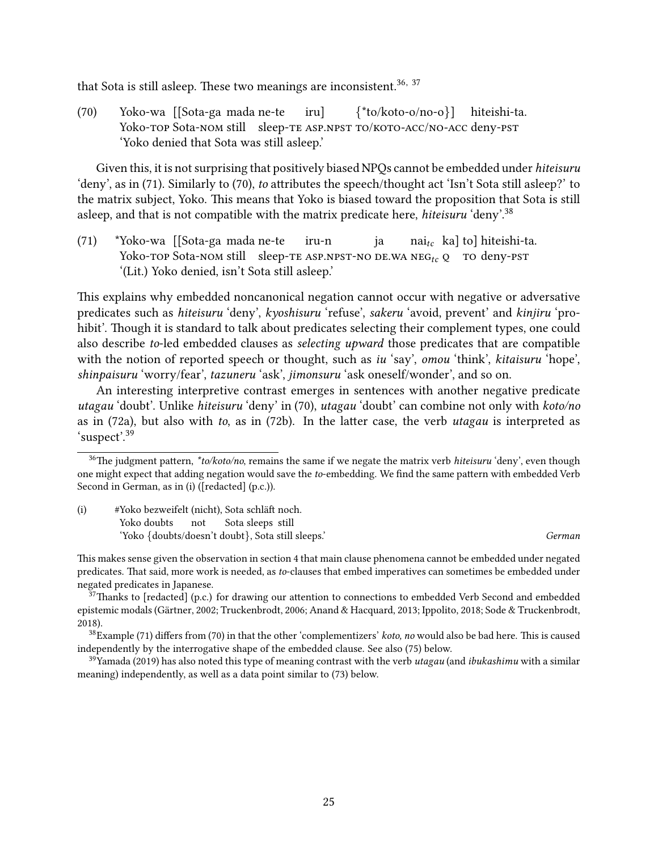that Sota is still asleep. These two meanings are inconsistent.<sup>[36,](#page-24-1) [37](#page-24-2)</sup>

<span id="page-24-0"></span>(70) Yoko-wa [[Sota-ga mada ne-te Yoko-top Sota-nom still sleep-te ASP.NPST TO/KOTO-ACC/NO-ACC deny-PST iru]  $\{ *$ to/koto-o/no-o}] hiteishi-ta. 'Yoko denied that Sota was still asleep.'

Given this, it is not surprising that positively biased NPQs cannot be embedded under hiteisuru 'deny', as in [\(71\).](#page-24-3) Similarly to [\(70\),](#page-24-0) to attributes the speech/thought act 'Isn't Sota still asleep?' to the matrix subject, Yoko. This means that Yoko is biased toward the proposition that Sota is still asleep, and that is not compatible with the matrix predicate here, hiteisuru 'deny'.<sup>[38](#page-24-4)</sup>

<span id="page-24-3"></span>(71) \*Yoko-wa [[Sota-ga mada ne-te  $\gamma$ oko-top Sota-nom still sleep-te ASP.NPST-NO DE.WA NEG<sub>te</sub> O TO deny-pst iru-n ja  $\text{nai}_{tc}$  kal tol hiteishi-ta. '(Lit.) Yoko denied, isn't Sota still asleep.'

This explains why embedded noncanonical negation cannot occur with negative or adversative predicates such as hiteisuru 'deny', kyoshisuru 'refuse', sakeru 'avoid, prevent' and kinjiru 'prohibit'. Though it is standard to talk about predicates selecting their complement types, one could also describe to-led embedded clauses as selecting upward those predicates that are compatible with the notion of reported speech or thought, such as iu 'say', omou 'think', kitaisuru 'hope', shinpaisuru 'worry/fear', tazuneru 'ask', jimonsuru 'ask oneself/wonder', and so on.

An interesting interpretive contrast emerges in sentences with another negative predicate utagau 'doubt'. Unlike hiteisuru 'deny' in [\(70\),](#page-24-0) utagau 'doubt' can combine not only with koto/no as in [\(72a\),](#page-25-1) but also with to, as in [\(72b\).](#page-25-2) In the latter case, the verb utagau is interpreted as 'suspect'.[39](#page-24-5)

<span id="page-24-6"></span>(i) #Yoko bezweifelt (nicht), Sota schläft noch. Yoko doubts not Sota sleeps still 'Yoko {doubts/doesn't doubt}, Sota still sleeps.' German

This makes sense given the observation in section [4](#page-15-0) that main clause phenomena cannot be embedded under negated predicates. That said, more work is needed, as to-clauses that embed imperatives can sometimes be embedded under negated predicates in Japanese.

<span id="page-24-2"></span> $37$ Thanks to [redacted] (p.c.) for drawing our attention to connections to embedded Verb Second and embedded epistemic modals [\(Gartner, 2002;](#page-31-16) [Truckenbrodt, 2006;](#page-35-14) [Anand & Hacquard, 2013;](#page-30-4) [Ippolito, 2018;](#page-32-14) [Sode & Truckenbrodt,](#page-35-11) ¨ [2018\)](#page-35-11).

<span id="page-24-4"></span> $38$ Example [\(71\)](#page-24-3) differs from [\(70\)](#page-24-0) in that the other 'complementizers' koto, no would also be bad here. This is caused independently by the interrogative shape of the embedded clause. See also [\(75\)](#page-25-3) below.

<span id="page-24-5"></span> $39$ [Yamada](#page-35-9) [\(2019\)](#page-35-9) has also noted this type of meaning contrast with the verb utagau (and ibukashimu with a similar meaning) independently, as well as a data point similar to [\(73\)](#page-25-0) below.

<span id="page-24-1"></span><sup>&</sup>lt;sup>36</sup>The judgment pattern, \*to/koto/no, remains the same if we negate the matrix verb hiteisuru 'deny', even though one might expect that adding negation would save the to-embedding. We find the same pattern with embedded Verb Second in German, as in [\(i\)](#page-24-6) ([redacted] (p.c.)).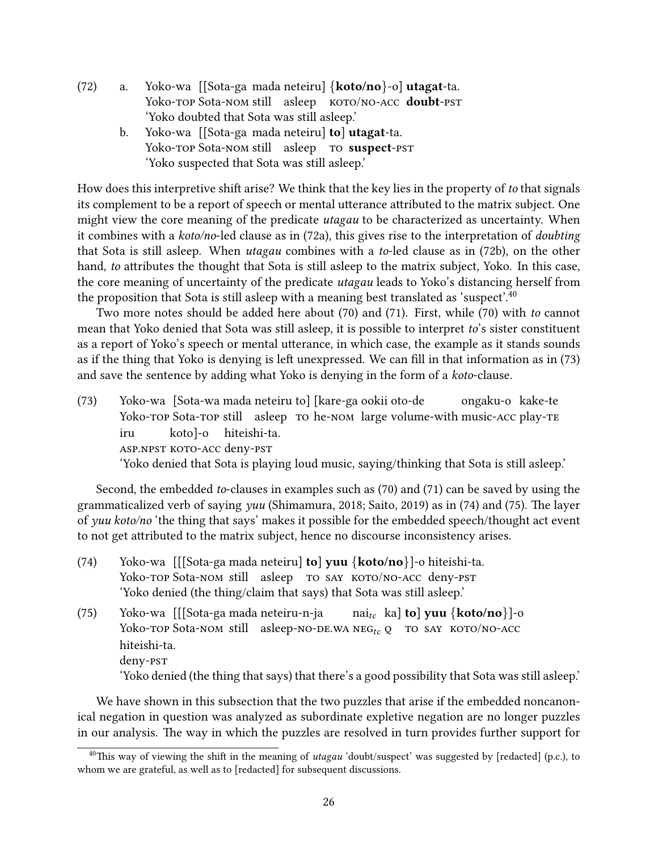- <span id="page-25-2"></span><span id="page-25-1"></span>(72) a. Yoko-wa [[Sota-ga mada neteiru] {koto/no}-o] utagat-ta. Yoko-top Sota-nom still asleep KOTO/NO-ACC **doubt**-pst 'Yoko doubted that Sota was still asleep.'
	- b. Yoko-wa [[Sota-ga mada neteiru] **to] utagat-**ta. Yoko-top Sota-nom still asleep to suspect-pst 'Yoko suspected that Sota was still asleep.'

How does this interpretive shift arise? We think that the key lies in the property of to that signals its complement to be a report of speech or mental utterance attributed to the matrix subject. One might view the core meaning of the predicate *utagau* to be characterized as uncertainty. When it combines with a koto/no-led clause as in [\(72a\),](#page-25-1) this gives rise to the interpretation of doubting that Sota is still asleep. When utagau combines with a to-led clause as in [\(72b\),](#page-25-2) on the other hand, to attributes the thought that Sota is still asleep to the matrix subject, Yoko. In this case, the core meaning of uncertainty of the predicate utagau leads to Yoko's distancing herself from the proposition that Sota is still asleep with a meaning best translated as 'suspect'. $40$ 

Two more notes should be added here about [\(70\)](#page-24-0) and [\(71\).](#page-24-3) First, while [\(70\)](#page-24-0) with to cannot mean that Yoko denied that Sota was still asleep, it is possible to interpret to's sister constituent as a report of Yoko's speech or mental utterance, in which case, the example as it stands sounds as if the thing that Yoko is denying is left unexpressed. We can fill in that information as in [\(73\)](#page-25-0) and save the sentence by adding what Yoko is denying in the form of a koto-clause.

<span id="page-25-0"></span>(73) Yoko-wa [Sota-wa mada neteiru to] [kare-ga ookii oto-de Yoko-top Sota-top still asleep to he-nom large volume-with music-acc play-te ongaku-o kake-te iru asp.npst koto-acc deny-pst koto]-o hiteishi-ta. 'Yoko denied that Sota is playing loud music, saying/thinking that Sota is still asleep.'

Second, the embedded to-clauses in examples such as [\(70\)](#page-24-0) and [\(71\)](#page-24-3) can be saved by using the grammaticalized verb of saying yuu [\(Shimamura, 2018;](#page-35-6) [Saito, 2019\)](#page-34-6) as in [\(74\)](#page-25-5) and [\(75\).](#page-25-3) The layer of yuu koto/no 'the thing that says' makes it possible for the embedded speech/thought act event to not get attributed to the matrix subject, hence no discourse inconsistency arises.

<span id="page-25-5"></span><span id="page-25-3"></span>

| (74) | Yoko-wa $[[Sota-ga mada neteiru] to] yuu \{koto/no\}]$ -o hiteishi-ta.                                                                                                                                                                                                                                      |
|------|-------------------------------------------------------------------------------------------------------------------------------------------------------------------------------------------------------------------------------------------------------------------------------------------------------------|
|      | Yoko-TOP Sota-NOM still asleep TO SAY KOTO/NO-ACC deny-PST                                                                                                                                                                                                                                                  |
|      | 'Yoko denied (the thing/claim that says) that Sota was still asleep.'                                                                                                                                                                                                                                       |
| (75) | nai <sub>tc</sub> ka] <b>to</b> ] yuu {koto/no}]-o<br>Yoko-wa [[[Sota-ga mada neteiru-n-ja<br>Yoko-TOP Sota-NOM still asleep-NO-DE.WA NEG <sub>tc</sub> Q TO SAY KOTO/NO-ACC<br>hiteishi-ta.<br>deny-pst<br>'Yoko denied (the thing that says) that there's a good possibility that Sota was still asleep.' |

We have shown in this subsection that the two puzzles that arise if the embedded noncanonical negation in question was analyzed as subordinate expletive negation are no longer puzzles in our analysis. The way in which the puzzles are resolved in turn provides further support for

<span id="page-25-4"></span> $40$ This way of viewing the shift in the meaning of utagau 'doubt/suspect' was suggested by [redacted] (p.c.), to whom we are grateful, as well as to [redacted] for subsequent discussions.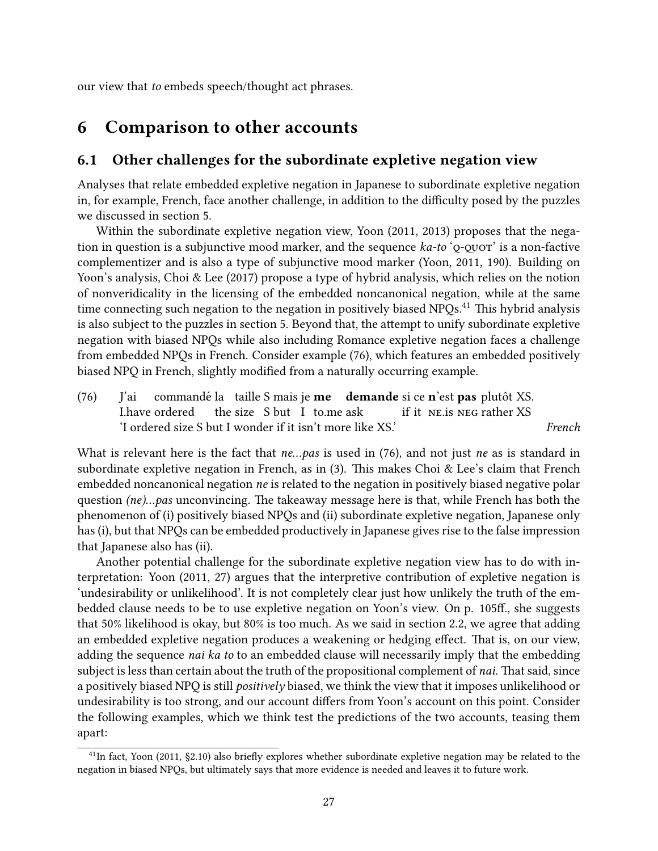our view that to embeds speech/thought act phrases.

## <span id="page-26-0"></span>6 Comparison to other accounts

### 6.1 Other challenges for the subordinate expletive negation view

Analyses that relate embedded expletive negation in Japanese to subordinate expletive negation in, for example, French, face another challenge, in addition to the difficulty posed by the puzzles we discussed in section [5.](#page-23-0)

Within the subordinate expletive negation view, [Yoon](#page-35-0) [\(2011,](#page-35-0) [2013\)](#page-36-0) proposes that the negation in question is a subjunctive mood marker, and the sequence  $ka-to'$ ;  $\circ$   $\circ$  $\circ$  $\circ$  $\circ$  $\circ$  $\circ$  $\circ$  is a non-factive complementizer and is also a type of subjunctive mood marker [\(Yoon, 2011,](#page-35-0) 190). Building on Yoon's analysis, [Choi & Lee](#page-31-0) [\(2017\)](#page-31-0) propose a type of hybrid analysis, which relies on the notion of nonveridicality in the licensing of the embedded noncanonical negation, while at the same time connecting such negation to the negation in positively biased  $NPQs<sup>41</sup>$  $NPQs<sup>41</sup>$  $NPQs<sup>41</sup>$ . This hybrid analysis is also subject to the puzzles in section [5.](#page-23-0) Beyond that, the attempt to unify subordinate expletive negation with biased NPQs while also including Romance expletive negation faces a challenge from embedded NPQs in French. Consider example [\(76\),](#page-26-2) which features an embedded positively biased NPQ in French, slightly modified from a naturally occurring example.

<span id="page-26-2"></span>(76) J'ai I.have ordered commandé la taille S mais je me demande si ce n'est pas plutôt XS. the size S but I to me ask if it ne.is neg rather XS 'I ordered size S but I wonder if it isn't more like XS.' French

What is relevant here is the fact that  $ne...pa$  is used in [\(76\),](#page-26-2) and not just ne as is standard in subordinate expletive negation in French, as in  $(3)$ . This makes Choi & Lee's claim that French embedded noncanonical negation ne is related to the negation in positively biased negative polar question  $(ne)...pas$  unconvincing. The takeaway message here is that, while French has both the phenomenon of (i) positively biased NPQs and (ii) subordinate expletive negation, Japanese only has (i), but that NPQs can be embedded productively in Japanese gives rise to the false impression that Japanese also has (ii).

Another potential challenge for the subordinate expletive negation view has to do with interpretation: [Yoon](#page-35-0) [\(2011,](#page-35-0) 27) argues that the interpretive contribution of expletive negation is 'undesirability or unlikelihood'. It is not completely clear just how unlikely the truth of the embedded clause needs to be to use expletive negation on Yoon's view. On p. 105ff., she suggests that 50% likelihood is okay, but 80% is too much. As we said in section [2.2,](#page-5-6) we agree that adding an embedded expletive negation produces a weakening or hedging effect. That is, on our view, adding the sequence *nai ka to* to an embedded clause will necessarily imply that the embedding subject is less than certain about the truth of the propositional complement of *nai*. That said, since a positively biased NPQ is still positively biased, we think the view that it imposes unlikelihood or undesirability is too strong, and our account differs from Yoon's account on this point. Consider the following examples, which we think test the predictions of the two accounts, teasing them apart:

<span id="page-26-3"></span><span id="page-26-1"></span> $^{41}$ In fact, [Yoon](#page-35-0) [\(2011,](#page-35-0) §2.10) also briefly explores whether subordinate expletive negation may be related to the negation in biased NPQs, but ultimately says that more evidence is needed and leaves it to future work.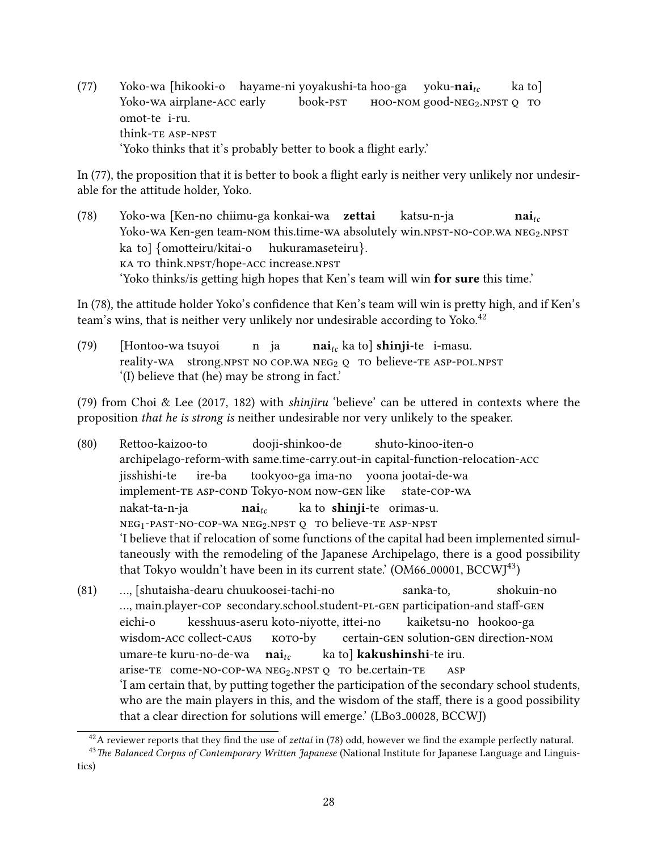(77) Yoko-wa [hikooki-o hayame-ni yoyakushi-ta hoo-ga Yoko-wa airplane-acc early book-pst  $HOO-NOM$  good-NEG<sub>2</sub>.NPST Q TO yoku-nai $_{tc}$ ka to] omot-te i-ru. think-te asp-npst 'Yoko thinks that it's probably better to book a flight early.'

In [\(77\),](#page-26-3) the proposition that it is better to book a flight early is neither very unlikely nor undesirable for the attitude holder, Yoko.

<span id="page-27-0"></span>(78) Yoko-wa [Ken-no chiimu-ga konkai-wa zettai Yoko-wa Ken-gen team-nom this.time-wa absolutely win.npst-no-cop.wa NEG2.NPST katsu-n-ja  $\mathbf{nai}_{tc}$ ka to] {omotteiru/kitai-o hukuramaseteiru}. ka to think.npst/hope-acc increase.npst 'Yoko thinks/is getting high hopes that Ken's team will win for sure this time.'

In [\(78\),](#page-27-0) the attitude holder Yoko's confidence that Ken's team will win is pretty high, and if Ken's team's wins, that is neither very unlikely nor undesirable according to Yoko.<sup>[42](#page-27-1)</sup>

<span id="page-27-2"></span>(79) [Hontoo-wa tsuyoi reality-wa strong.npst No COP.wa NEG<sub>2</sub> Q TO believe-TE ASP-POL.NPST n ja  $\mathbf{nai}_{tc}$  ka to $\mathsf{l}$  shi $\mathbf{nii}$ -te $\mathsf{l}$  i-masu. '(I) believe that (he) may be strong in fact.'

[\(79\)](#page-27-2) from [Choi & Lee](#page-31-0) [\(2017,](#page-31-0) 182) with *shinjiru* 'believe' can be uttered in contexts where the proposition that he is strong is neither undesirable nor very unlikely to the speaker.

- <span id="page-27-4"></span>(80) Rettoo-kaizoo-to archipelago-reform-with same.time-carry.out-in capital-function-relocation-acc dooji-shinkoo-de shuto-kinoo-iten-o jisshishi-te .<br>implement-te asp-cond Tokyo-nom now-gen like ire-ba tookyoo-ga ima-no yoona jootai-de-wa state-cop-wa nakat-ta-n-ja neg<sub>1</sub>-past-no-cop-wa neg<sub>2</sub>.npst Q to believe-te asp-npst  $\mathbf{nai}_{tc}$ ka to **shinii**-te) orimas-u. 'I believe that if relocation of some functions of the capital had been implemented simultaneously with the remodeling of the Japanese Archipelago, there is a good possibility that Tokyo wouldn't have been in its current state.'  $(OM66_00001, BCCW1<sup>43</sup>)$  $(OM66_00001, BCCW1<sup>43</sup>)$  $(OM66_00001, BCCW1<sup>43</sup>)$
- <span id="page-27-5"></span> $(81)$ ..., main.player-cop secondary.school.student-pl-GEN participation-and staff-GEN [shutaisha-dearu chuukoosei-tachi-no sanka-to, shokuin-no eichi-o wisdom-acc collect-caus kesshuus-aseru koto-nivotte, ittei-no koto-by certain-gen solution-gen direction-nom kaiketsu-no hookoo-ga umare-te kuru-no-de-wa **nai** arise-TE come-NO-COP-WA NEG<sub>2</sub>.NPST Q TO be.certain-TE ka tol **kakushinshi**-te iru. asp 'I am certain that, by putting together the participation of the secondary school students, who are the main players in this, and the wisdom of the staff, there is a good possibility that a clear direction for solutions will emerge.' (LBo3 00028, BCCWJ)

<span id="page-27-3"></span><span id="page-27-1"></span><sup>&</sup>lt;sup>42</sup>A reviewer reports that they find the use of *zettai* in [\(78\)](#page-27-0) odd, however we find the example perfectly natural.

<sup>&</sup>lt;sup>43</sup> The Balanced Corpus of Contemporary Written Japanese (National Institute for Japanese Language and Linguistics)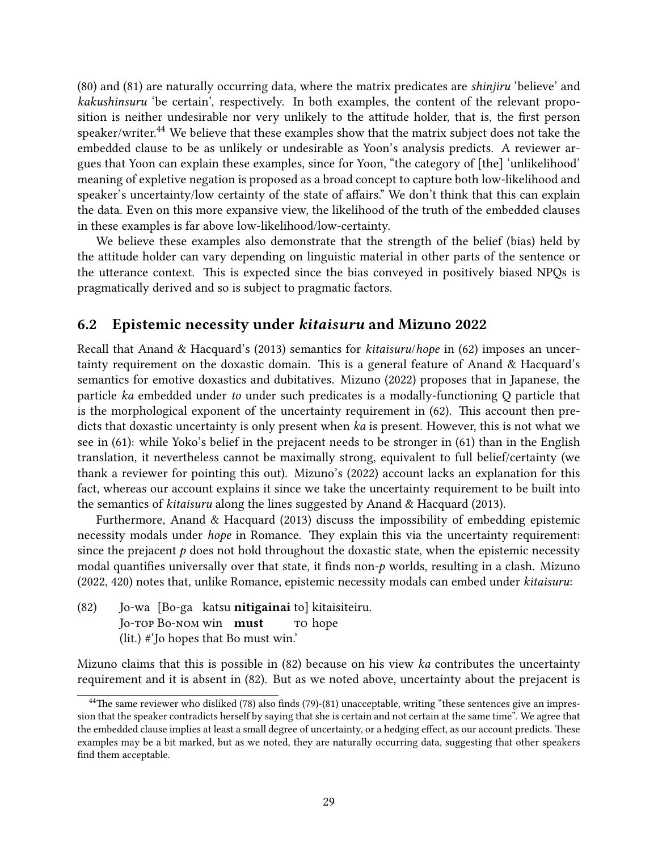[\(80\)](#page-27-4) and [\(81\)](#page-27-5) are naturally occurring data, where the matrix predicates are shinjiru 'believe' and kakushinsuru 'be certain', respectively. In both examples, the content of the relevant proposition is neither undesirable nor very unlikely to the attitude holder, that is, the first person speaker/writer.<sup>[44](#page-28-1)</sup> We believe that these examples show that the matrix subject does not take the embedded clause to be as unlikely or undesirable as Yoon's analysis predicts. A reviewer argues that Yoon can explain these examples, since for Yoon, "the category of [the] 'unlikelihood' meaning of expletive negation is proposed as a broad concept to capture both low-likelihood and speaker's uncertainty/low certainty of the state of affairs." We don't think that this can explain the data. Even on this more expansive view, the likelihood of the truth of the embedded clauses in these examples is far above low-likelihood/low-certainty.

We believe these examples also demonstrate that the strength of the belief (bias) held by the attitude holder can vary depending on linguistic material in other parts of the sentence or the utterance context. This is expected since the bias conveyed in positively biased NPQs is pragmatically derived and so is subject to pragmatic factors.

### <span id="page-28-0"></span>6.2 Epistemic necessity under kitaisuru and [Mizuno 2022](#page-33-0)

Recall that [Anand & Hacquard'](#page-30-4)s [\(2013\)](#page-30-4) semantics for kitaisuru/hope in [\(62\)](#page-19-3) imposes an uncertainty requirement on the doxastic domain. This is a general feature of Anand  $&$  Hacquard's semantics for emotive doxastics and dubitatives. [Mizuno](#page-33-0) [\(2022\)](#page-33-0) proposes that in Japanese, the particle ka embedded under to under such predicates is a modally-functioning Q particle that is the morphological exponent of the uncertainty requirement in  $(62)$ . This account then predicts that doxastic uncertainty is only present when ka is present. However, this is not what we see in [\(61\):](#page-19-2) while Yoko's belief in the prejacent needs to be stronger in [\(61\)](#page-19-2) than in the English translation, it nevertheless cannot be maximally strong, equivalent to full belief/certainty (we thank a reviewer for pointing this out). [Mizuno'](#page-33-0)s [\(2022\)](#page-33-0) account lacks an explanation for this fact, whereas our account explains it since we take the uncertainty requirement to be built into the semantics of kitaisuru along the lines suggested by [Anand & Hacquard](#page-30-4) [\(2013\)](#page-30-4).

Furthermore, [Anand & Hacquard](#page-30-4) [\(2013\)](#page-30-4) discuss the impossibility of embedding epistemic necessity modals under *hope* in Romance. They explain this via the uncertainty requirement: since the prejacent  $p$  does not hold throughout the doxastic state, when the epistemic necessity modal quantifies universally over that state, it finds non- $p$  worlds, resulting in a clash. [Mizuno](#page-33-0) [\(2022,](#page-33-0) 420) notes that, unlike Romance, epistemic necessity modals can embed under kitaisuru:

<span id="page-28-2"></span>(82) Io-wa [Bo-ga katsu **nitigainai** to] kitaisiteiru. Io-top Bo-nom win must To hope (lit.) #'Jo hopes that Bo must win.'

Mizuno claims that this is possible in  $(82)$  because on his view ka contributes the uncertainty requirement and it is absent in [\(82\).](#page-28-2) But as we noted above, uncertainty about the prejacent is

<span id="page-28-1"></span> $44$ The same reviewer who disliked [\(78\)](#page-27-0) also finds [\(79\)-](#page-27-2)[\(81\)](#page-27-5) unacceptable, writing "these sentences give an impression that the speaker contradicts herself by saying that she is certain and not certain at the same time". We agree that the embedded clause implies at least a small degree of uncertainty, or a hedging effect, as our account predicts. These examples may be a bit marked, but as we noted, they are naturally occurring data, suggesting that other speakers find them acceptable.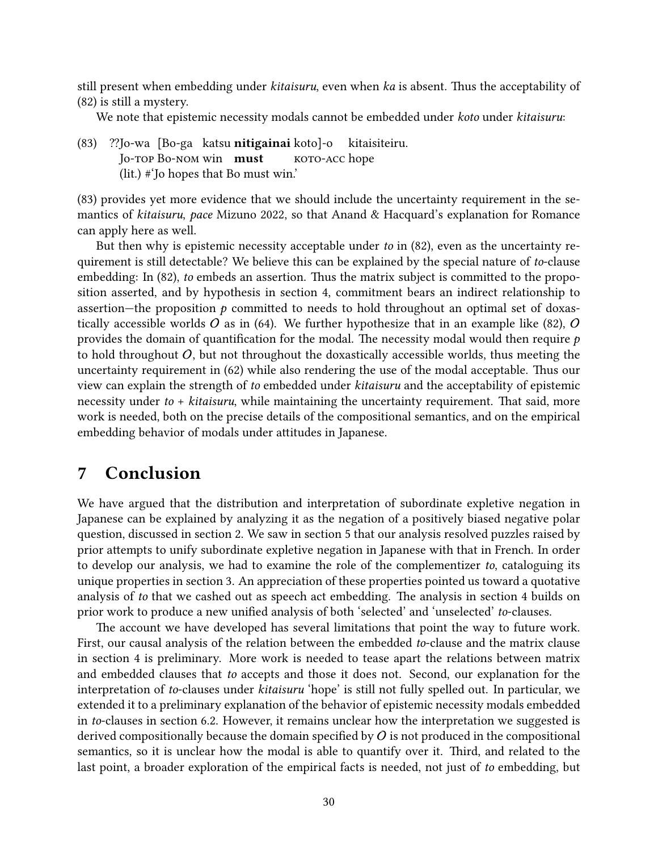still present when embedding under *kitaisuru*, even when ka is absent. Thus the acceptability of [\(82\)](#page-28-2) is still a mystery.

We note that epistemic necessity modals cannot be embedded under *koto* under *kitaisuru*:

(83) ??Io-wa IBo-ga katsu **nitigainai** kotol-o Io-top Bo-nom win must koto-acc hope kitaisiteiru. (lit.) #'Jo hopes that Bo must win.'

(83) provides yet more evidence that we should include the uncertainty requirement in the semantics of kitaisuru, pace [Mizuno 2022,](#page-33-0) so that Anand & Hacquard's explanation for Romance can apply here as well.

But then why is epistemic necessity acceptable under to in [\(82\),](#page-28-2) even as the uncertainty requirement is still detectable? We believe this can be explained by the special nature of to-clause embedding: In [\(82\),](#page-28-2) to embeds an assertion. Thus the matrix subject is committed to the proposition asserted, and by hypothesis in section [4,](#page-15-0) commitment bears an indirect relationship to assertion—the proposition  $p$  committed to needs to hold throughout an optimal set of doxas-tically accessible worlds O as in [\(64\).](#page-20-1) We further hypothesize that in an example like [\(82\),](#page-28-2) O provides the domain of quantification for the modal. The necessity modal would then require  $p$ to hold throughout  $O$ , but not throughout the doxastically accessible worlds, thus meeting the uncertainty requirement in  $(62)$  while also rendering the use of the modal acceptable. Thus our view can explain the strength of to embedded under kitaisuru and the acceptability of epistemic necessity under to  $+$  kitaisuru, while maintaining the uncertainty requirement. That said, more work is needed, both on the precise details of the compositional semantics, and on the empirical embedding behavior of modals under attitudes in Japanese.

## <span id="page-29-0"></span>7 Conclusion

We have argued that the distribution and interpretation of subordinate expletive negation in Japanese can be explained by analyzing it as the negation of a positively biased negative polar question, discussed in section [2.](#page-2-1) We saw in section [5](#page-23-0) that our analysis resolved puzzles raised by prior attempts to unify subordinate expletive negation in Japanese with that in French. In order to develop our analysis, we had to examine the role of the complementizer to, cataloguing its unique properties in section [3.](#page-7-0) An appreciation of these properties pointed us toward a quotative analysis of to that we cashed out as speech act embedding. The analysis in section [4](#page-15-0) builds on prior work to produce a new unified analysis of both 'selected' and 'unselected' to-clauses.

The account we have developed has several limitations that point the way to future work. First, our causal analysis of the relation between the embedded to-clause and the matrix clause in section [4](#page-15-0) is preliminary. More work is needed to tease apart the relations between matrix and embedded clauses that to accepts and those it does not. Second, our explanation for the interpretation of to-clauses under kitaisuru 'hope' is still not fully spelled out. In particular, we extended it to a preliminary explanation of the behavior of epistemic necessity modals embedded in to-clauses in section [6.2.](#page-28-0) However, it remains unclear how the interpretation we suggested is derived compositionally because the domain specified by  $O$  is not produced in the compositional semantics, so it is unclear how the modal is able to quantify over it. Third, and related to the last point, a broader exploration of the empirical facts is needed, not just of to embedding, but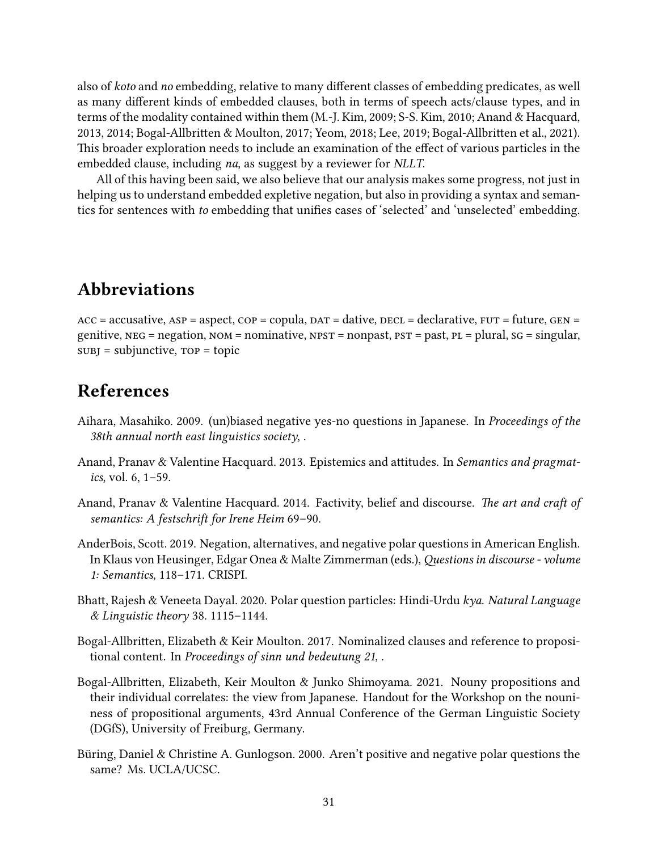also of *koto* and *no* embedding, relative to many different classes of embedding predicates, as well as many different kinds of embedded clauses, both in terms of speech acts/clause types, and in terms of the modality contained within them [\(M.-J. Kim, 2009;](#page-33-13) [S-S. Kim, 2010;](#page-34-15) [Anand & Hacquard,](#page-30-4) [2013,](#page-30-4) [2014;](#page-30-5) Bogal-Allbritten & Moulton, 2017; [Yeom, 2018;](#page-35-15) [Lee, 2019;](#page-33-14) Bogal-Allbritten et al., 2021). This broader exploration needs to include an examination of the effect of various particles in the embedded clause, including na, as suggest by a reviewer for NLLT.

All of this having been said, we also believe that our analysis makes some progress, not just in helping us to understand embedded expletive negation, but also in providing a syntax and semantics for sentences with to embedding that unifies cases of 'selected' and 'unselected' embedding.

## Abbreviations

 $ACC = accusative, ASP = aspect, COP = copula, DAT = dative, DEC = declarative, FUT = future, GEN =$ genitive,  $NEG = negation$ ,  $NOM = nominative$ ,  $NPST = nonpast$ ,  $PST = past$ ,  $PL = plural$ ,  $SG = singular$ ,  $sUBJ = subjunctive, TOP = topic$ 

## References

- <span id="page-30-0"></span>Aihara, Masahiko. 2009. (un)biased negative yes-no questions in Japanese. In Proceedings of the 38th annual north east linguistics society, .
- <span id="page-30-4"></span>Anand, Pranav & Valentine Hacquard. 2013. Epistemics and attitudes. In Semantics and pragmatics, vol. 6, 1–59.
- <span id="page-30-5"></span>Anand, Pranav & Valentine Hacquard. 2014. Factivity, belief and discourse. The art and craft of semantics: A festschrift for Irene Heim 69-90.
- <span id="page-30-1"></span>AnderBois, Scott. 2019. Negation, alternatives, and negative polar questions in American English. In Klaus von Heusinger, Edgar Onea & Malte Zimmerman (eds.), Questions in discourse - volume 1: Semantics, 118–171. CRISPI.
- <span id="page-30-3"></span>Bhatt, Rajesh & Veneeta Dayal. 2020. Polar question particles: Hindi-Urdu kya. Natural Language & Linguistic theory 38. 1115–1144.
- <span id="page-30-6"></span>Bogal-Allbritten, Elizabeth & Keir Moulton. 2017. Nominalized clauses and reference to propositional content. In Proceedings of sinn und bedeutung 21, .
- <span id="page-30-7"></span>Bogal-Allbritten, Elizabeth, Keir Moulton & Junko Shimoyama. 2021. Nouny propositions and their individual correlates: the view from Japanese. Handout for the Workshop on the nouniness of propositional arguments, 43rd Annual Conference of the German Linguistic Society (DGfS), University of Freiburg, Germany.
- <span id="page-30-2"></span>Büring, Daniel & Christine A. Gunlogson. 2000. Aren't positive and negative polar questions the same? Ms. UCLA/UCSC.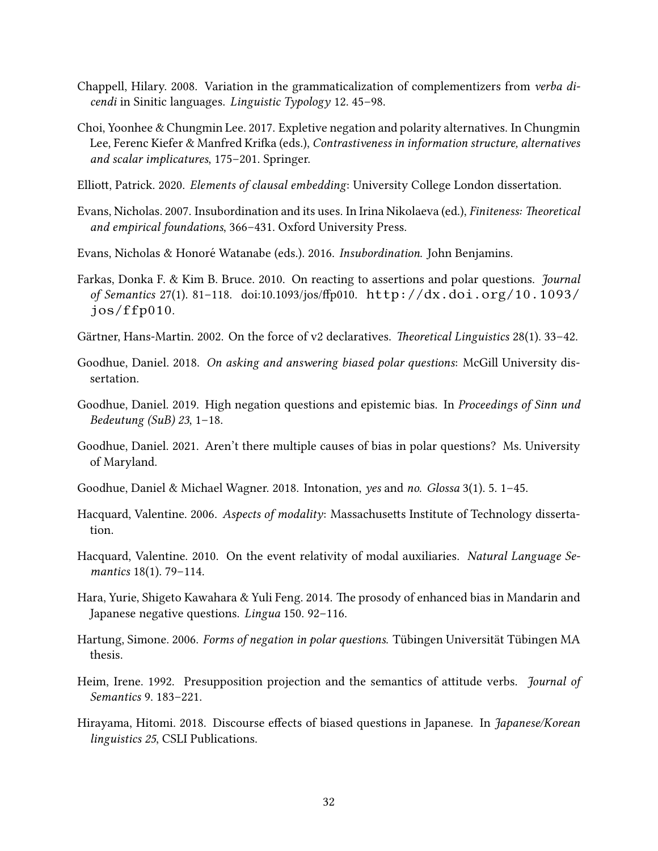- <span id="page-31-7"></span>Chappell, Hilary. 2008. Variation in the grammaticalization of complementizers from verba dicendi in Sinitic languages. Linguistic Typology 12. 45–98.
- <span id="page-31-0"></span>Choi, Yoonhee & Chungmin Lee. 2017. Expletive negation and polarity alternatives. In Chungmin Lee, Ferenc Kiefer & Manfred Krifka (eds.), Contrastiveness in information structure, alternatives and scalar implicatures, 175–201. Springer.
- <span id="page-31-12"></span>Elliott, Patrick. 2020. Elements of clausal embedding: University College London dissertation.
- <span id="page-31-8"></span>Evans, Nicholas. 2007. Insubordination and its uses. In Irina Nikolaeva (ed.), *Finiteness: Theoretical* and empirical foundations, 366–431. Oxford University Press.
- <span id="page-31-9"></span>Evans, Nicholas & Honoré Watanabe (eds.). 2016. Insubordination. John Benjamins.
- <span id="page-31-13"></span>Farkas, Donka F. & Kim B. Bruce. 2010. On reacting to assertions and polar questions. *Journal* of Semantics 27(1). 81-118. doi:10.1093/jos/ffp010. [http://dx.doi.org/10.1093/](http://dx.doi.org/10.1093/jos/ffp010) [jos/ffp010](http://dx.doi.org/10.1093/jos/ffp010).
- <span id="page-31-16"></span>Gärtner, Hans-Martin. 2002. On the force of v2 declaratives. *Theoretical Linguistics* 28(1). 33–42.
- <span id="page-31-4"></span>Goodhue, Daniel. 2018. On asking and answering biased polar questions: McGill University dissertation.
- <span id="page-31-3"></span>Goodhue, Daniel. 2019. High negation questions and epistemic bias. In Proceedings of Sinn und Bedeutung (SuB) 23, 1–18.
- <span id="page-31-5"></span>Goodhue, Daniel. 2021. Aren't there multiple causes of bias in polar questions? Ms. University of Maryland.
- <span id="page-31-14"></span>Goodhue, Daniel & Michael Wagner. 2018. Intonation, yes and no. Glossa 3(1). 5. 1–45.
- <span id="page-31-11"></span>Hacquard, Valentine. 2006. Aspects of modality: Massachusetts Institute of Technology dissertation.
- <span id="page-31-10"></span>Hacquard, Valentine. 2010. On the event relativity of modal auxiliaries. Natural Language Semantics 18(1). 79–114.
- <span id="page-31-1"></span>Hara, Yurie, Shigeto Kawahara & Yuli Feng. 2014. The prosody of enhanced bias in Mandarin and Japanese negative questions. Lingua 150. 92–116.
- <span id="page-31-6"></span>Hartung, Simone. 2006. Forms of negation in polar questions. Tübingen Universität Tübingen MA thesis.
- <span id="page-31-15"></span>Heim, Irene. 1992. Presupposition projection and the semantics of attitude verbs. *Journal of* Semantics 9. 183–221.
- <span id="page-31-2"></span>Hirayama, Hitomi. 2018. Discourse effects of biased questions in Japanese. In Japanese/Korean linguistics 25, CSLI Publications.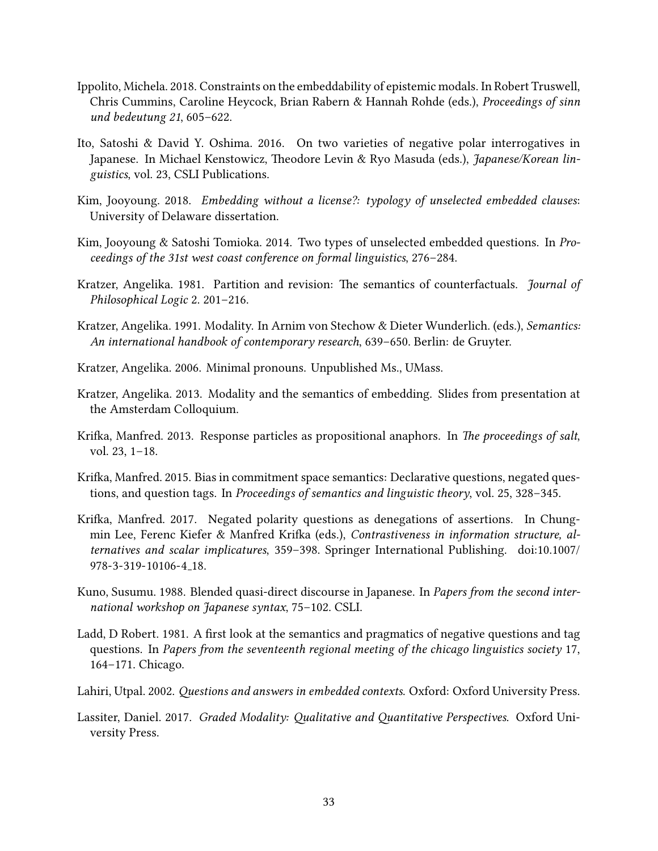- <span id="page-32-14"></span>Ippolito, Michela. 2018. Constraints on the embeddability of epistemic modals. In Robert Truswell, Chris Cummins, Caroline Heycock, Brian Rabern & Hannah Rohde (eds.), Proceedings of sinn und bedeutung 21, 605–622.
- <span id="page-32-0"></span>Ito, Satoshi & David Y. Oshima. 2016. On two varieties of negative polar interrogatives in Japanese. In Michael Kenstowicz, Theodore Levin & Ryo Masuda (eds.), Japanese/Korean linguistics, vol. 23, CSLI Publications.
- <span id="page-32-5"></span>Kim, Jooyoung. 2018. Embedding without a license?: typology of unselected embedded clauses: University of Delaware dissertation.
- <span id="page-32-4"></span>Kim, Jooyoung & Satoshi Tomioka. 2014. Two types of unselected embedded questions. In Proceedings of the 31st west coast conference on formal linguistics, 276–284.
- <span id="page-32-11"></span>Kratzer, Angelika. 1981. Partition and revision: The semantics of counterfactuals. *Journal of* Philosophical Logic 2. 201–216.
- <span id="page-32-12"></span>Kratzer, Angelika. 1991. Modality. In Arnim von Stechow & Dieter Wunderlich. (eds.), Semantics: An international handbook of contemporary research, 639–650. Berlin: de Gruyter.
- <span id="page-32-9"></span>Kratzer, Angelika. 2006. Minimal pronouns. Unpublished Ms., UMass.
- <span id="page-32-6"></span>Kratzer, Angelika. 2013. Modality and the semantics of embedding. Slides from presentation at the Amsterdam Colloquium.
- <span id="page-32-10"></span>Krifka, Manfred. 2013. Response particles as propositional anaphors. In The proceedings of salt, vol. 23, 1–18.
- <span id="page-32-3"></span>Krifka, Manfred. 2015. Bias in commitment space semantics: Declarative questions, negated questions, and question tags. In Proceedings of semantics and linguistic theory, vol. 25, 328–345.
- <span id="page-32-2"></span>Krifka, Manfred. 2017. Negated polarity questions as denegations of assertions. In Chungmin Lee, Ferenc Kiefer & Manfred Krifka (eds.), Contrastiveness in information structure, alternatives and scalar implicatures, 359–398. Springer International Publishing. doi:10.1007/ 978-3-319-10106-4 18.
- <span id="page-32-7"></span>Kuno, Susumu. 1988. Blended quasi-direct discourse in Japanese. In Papers from the second international workshop on Japanese syntax, 75–102. CSLI.
- <span id="page-32-1"></span>Ladd, D Robert. 1981. A first look at the semantics and pragmatics of negative questions and tag questions. In Papers from the seventeenth regional meeting of the chicago linguistics society 17, 164–171. Chicago.
- <span id="page-32-8"></span>Lahiri, Utpal. 2002. Questions and answers in embedded contexts. Oxford: Oxford University Press.
- <span id="page-32-13"></span>Lassiter, Daniel. 2017. Graded Modality: Qualitative and Quantitative Perspectives. Oxford University Press.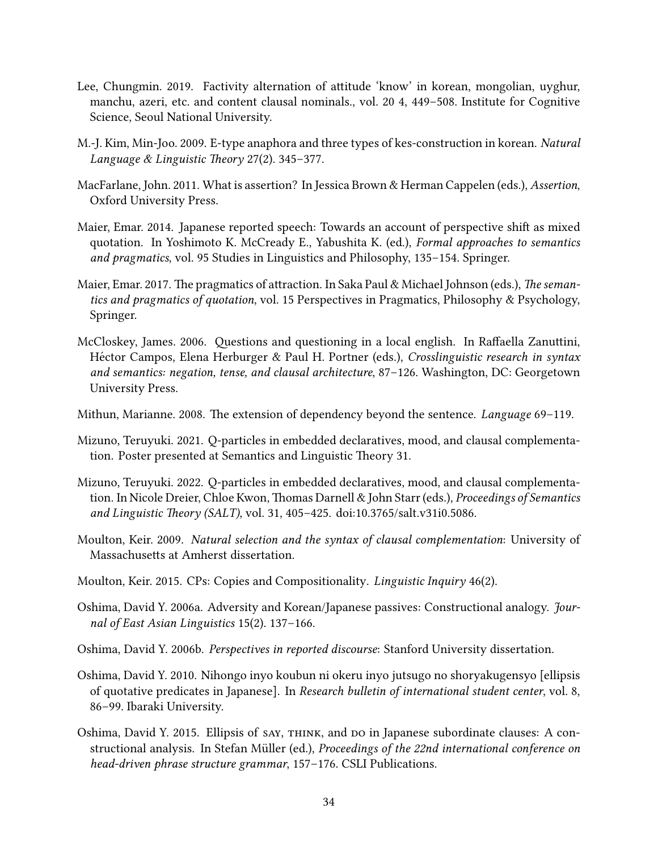- <span id="page-33-14"></span>Lee, Chungmin. 2019. Factivity alternation of attitude 'know' in korean, mongolian, uyghur, manchu, azeri, etc. and content clausal nominals., vol. 20 4, 449–508. Institute for Cognitive Science, Seoul National University.
- <span id="page-33-13"></span>M.-J. Kim, Min-Joo. 2009. E-type anaphora and three types of kes-construction in korean. Natural Language & Linguistic Theory 27(2). 345–377.
- <span id="page-33-12"></span>MacFarlane, John. 2011. What is assertion? In Jessica Brown & Herman Cappelen (eds.), Assertion, Oxford University Press.
- <span id="page-33-2"></span>Maier, Emar. 2014. Japanese reported speech: Towards an account of perspective shift as mixed quotation. In Yoshimoto K. McCready E., Yabushita K. (ed.), Formal approaches to semantics and pragmatics, vol. 95 Studies in Linguistics and Philosophy, 135–154. Springer.
- <span id="page-33-9"></span>Maier, Emar. 2017. The pragmatics of attraction. In Saka Paul & Michael Johnson (eds.), The semantics and pragmatics of quotation, vol. 15 Perspectives in Pragmatics, Philosophy & Psychology, Springer.
- <span id="page-33-8"></span>McCloskey, James. 2006. Questions and questioning in a local english. In Raffaella Zanuttini, Héctor Campos, Elena Herburger & Paul H. Portner (eds.), Crosslinguistic research in syntax and semantics: negation, tense, and clausal architecture, 87–126. Washington, DC: Georgetown University Press.
- <span id="page-33-6"></span>Mithun, Marianne. 2008. The extension of dependency beyond the sentence. Language 69–119.
- <span id="page-33-1"></span>Mizuno, Teruyuki. 2021. Q-particles in embedded declaratives, mood, and clausal complementation. Poster presented at Semantics and Linguistic Theory 31.
- <span id="page-33-0"></span>Mizuno, Teruyuki. 2022. Q-particles in embedded declaratives, mood, and clausal complementation. In Nicole Dreier, Chloe Kwon, Thomas Darnell & John Starr (eds.), *Proceedings of Semantics* and Linguistic Theory (SALT), vol. 31, 405-425. doi:10.3765/salt.v31i0.5086.
- <span id="page-33-10"></span>Moulton, Keir. 2009. Natural selection and the syntax of clausal complementation: University of Massachusetts at Amherst dissertation.
- <span id="page-33-11"></span>Moulton, Keir. 2015. CPs: Copies and Compositionality. Linguistic Inquiry 46(2).
- <span id="page-33-3"></span>Oshima, David Y. 2006a. Adversity and Korean/Japanese passives: Constructional analogy. Journal of East Asian Linguistics 15(2). 137–166.
- <span id="page-33-4"></span>Oshima, David Y. 2006b. Perspectives in reported discourse: Stanford University dissertation.
- <span id="page-33-7"></span>Oshima, David Y. 2010. Nihongo inyo koubun ni okeru inyo jutsugo no shoryakugensyo [ellipsis of quotative predicates in Japanese]. In Research bulletin of international student center, vol. 8, 86–99. Ibaraki University.
- <span id="page-33-5"></span>Oshima, David Y. 2015. Ellipsis of say, think, and do in Japanese subordinate clauses: A constructional analysis. In Stefan Müller (ed.), Proceedings of the 22nd international conference on head-driven phrase structure grammar, 157–176. CSLI Publications.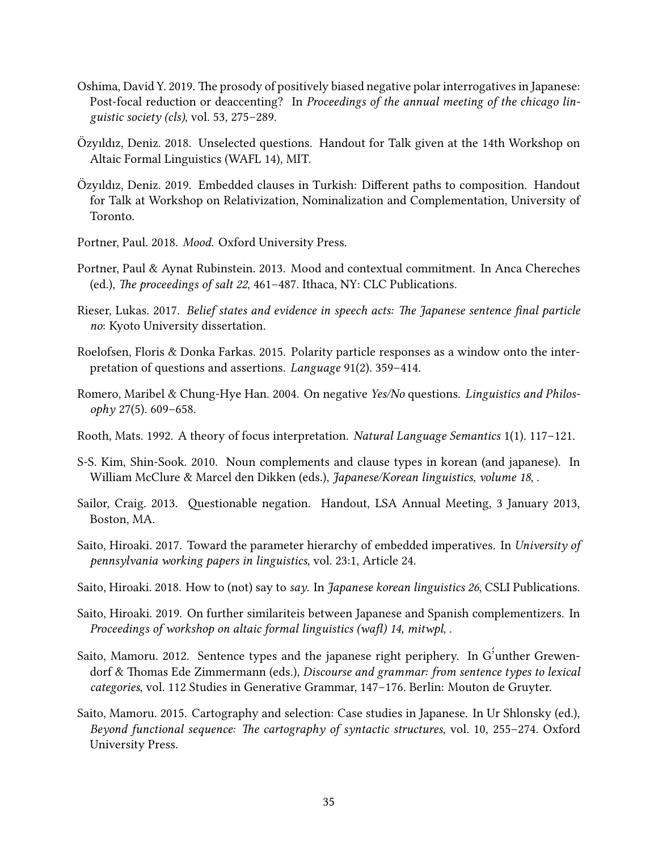- <span id="page-34-2"></span>Oshima, David Y. 2019. The prosody of positively biased negative polar interrogatives in Japanese: Post-focal reduction or deaccenting? In Proceedings of the annual meeting of the chicago linguistic society (cls), vol. 53, 275–289.
- <span id="page-34-8"></span>Ozyıldız, Deniz. 2018. Unselected questions. Handout for Talk given at the 14th Workshop on ¨ Altaic Formal Linguistics (WAFL 14), MIT.
- <span id="page-34-9"></span>Özyıldız, Deniz. 2019. Embedded clauses in Turkish: Different paths to composition. Handout for Talk at Workshop on Relativization, Nominalization and Complementation, University of Toronto.
- <span id="page-34-14"></span>Portner, Paul. 2018. Mood. Oxford University Press.
- <span id="page-34-13"></span>Portner, Paul & Aynat Rubinstein. 2013. Mood and contextual commitment. In Anca Chereches (ed.), The proceedings of salt 22, 461-487. Ithaca, NY: CLC Publications.
- <span id="page-34-1"></span>Rieser, Lukas. 2017. Belief states and evidence in speech acts: The Japanese sentence final particle no: Kyoto University dissertation.
- <span id="page-34-12"></span>Roelofsen, Floris & Donka Farkas. 2015. Polarity particle responses as a window onto the interpretation of questions and assertions. Language 91(2). 359–414.
- <span id="page-34-0"></span>Romero, Maribel & Chung-Hye Han. 2004. On negative Yes/No questions. Linguistics and Philosophy 27(5). 609–658.
- <span id="page-34-11"></span>Rooth, Mats. 1992. A theory of focus interpretation. Natural Language Semantics 1(1). 117–121.
- <span id="page-34-15"></span>S-S. Kim, Shin-Sook. 2010. Noun complements and clause types in korean (and japanese). In William McClure & Marcel den Dikken (eds.), Japanese/Korean linguistics, volume 18,.
- <span id="page-34-3"></span>Sailor, Craig. 2013. Questionable negation. Handout, LSA Annual Meeting, 3 January 2013, Boston, MA.
- <span id="page-34-10"></span>Saito, Hiroaki. 2017. Toward the parameter hierarchy of embedded imperatives. In University of pennsylvania working papers in linguistics, vol. 23:1, Article 24.
- <span id="page-34-7"></span>Saito, Hiroaki. 2018. How to (not) say to say. In Japanese korean linguistics 26, CSLI Publications.
- <span id="page-34-6"></span>Saito, Hiroaki. 2019. On further similariteis between Japanese and Spanish complementizers. In Proceedings of workshop on altaic formal linguistics (wafl) 14, mitwpl, .
- <span id="page-34-4"></span>Saito, Mamoru. 2012. Sentence types and the japanese right periphery. In G´ 'unther Grewendorf & Thomas Ede Zimmermann (eds.), Discourse and grammar: from sentence types to lexical categories, vol. 112 Studies in Generative Grammar, 147–176. Berlin: Mouton de Gruyter.
- <span id="page-34-5"></span>Saito, Mamoru. 2015. Cartography and selection: Case studies in Japanese. In Ur Shlonsky (ed.), Beyond functional sequence: The cartography of syntactic structures, vol. 10, 255-274. Oxford University Press.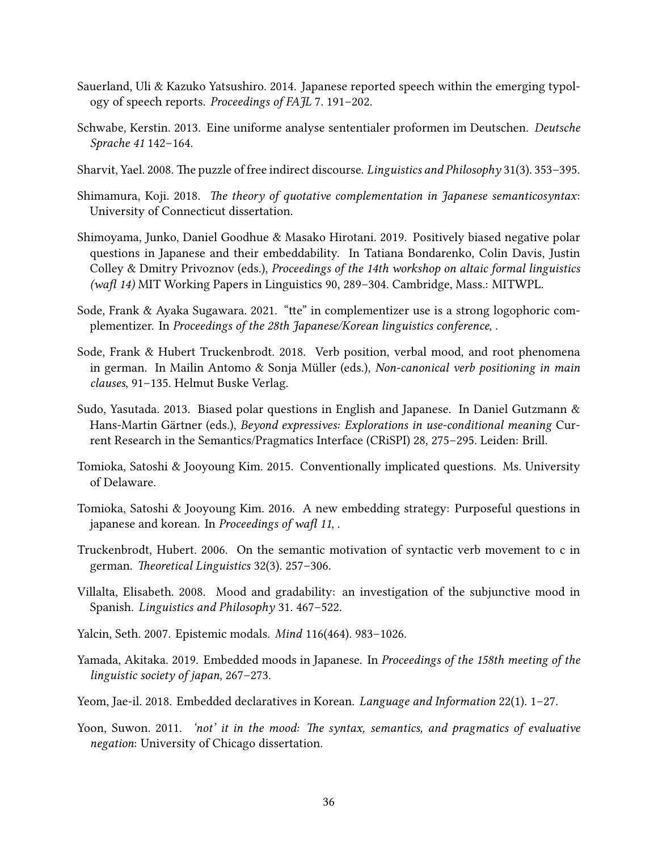- <span id="page-35-3"></span>Sauerland, Uli & Kazuko Yatsushiro. 2014. Japanese reported speech within the emerging typology of speech reports. Proceedings of FAJL 7. 191–202.
- <span id="page-35-10"></span>Schwabe, Kerstin. 2013. Eine uniforme analyse sententialer proformen im Deutschen. Deutsche Sprache 41 142–164.
- <span id="page-35-8"></span>Sharvit, Yael. 2008. The puzzle of free indirect discourse. *Linguistics and Philosophy* 31(3). 353–395.
- <span id="page-35-6"></span>Shimamura, Koji. 2018. The theory of quotative complementation in Japanese semanticosyntax: University of Connecticut dissertation.
- <span id="page-35-2"></span>Shimoyama, Junko, Daniel Goodhue & Masako Hirotani. 2019. Positively biased negative polar questions in Japanese and their embeddability. In Tatiana Bondarenko, Colin Davis, Justin Colley & Dmitry Privoznov (eds.), Proceedings of the 14th workshop on altaic formal linguistics (wafl 14) MIT Working Papers in Linguistics 90, 289-304. Cambridge, Mass.: MITWPL.
- <span id="page-35-7"></span>Sode, Frank & Ayaka Sugawara. 2021. "tte" in complementizer use is a strong logophoric complementizer. In Proceedings of the 28th Japanese/Korean linguistics conference, .
- <span id="page-35-11"></span>Sode, Frank & Hubert Truckenbrodt. 2018. Verb position, verbal mood, and root phenomena in german. In Mailin Antomo  $\&$  Sonja Müller (eds.), Non-canonical verb positioning in main clauses, 91–135. Helmut Buske Verlag.
- <span id="page-35-1"></span>Sudo, Yasutada. 2013. Biased polar questions in English and Japanese. In Daniel Gutzmann & Hans-Martin Gärtner (eds.), Beyond expressives: Explorations in use-conditional meaning Current Research in the Semantics/Pragmatics Interface (CRiSPI) 28, 275–295. Leiden: Brill.
- <span id="page-35-4"></span>Tomioka, Satoshi & Jooyoung Kim. 2015. Conventionally implicated questions. Ms. University of Delaware.
- <span id="page-35-5"></span>Tomioka, Satoshi & Jooyoung Kim. 2016. A new embedding strategy: Purposeful questions in japanese and korean. In Proceedings of wafl  $11$ ,.
- <span id="page-35-14"></span>Truckenbrodt, Hubert. 2006. On the semantic motivation of syntactic verb movement to c in german. Theoretical Linguistics 32(3). 257–306.
- <span id="page-35-12"></span>Villalta, Elisabeth. 2008. Mood and gradability: an investigation of the subjunctive mood in Spanish. Linguistics and Philosophy 31. 467–522.
- <span id="page-35-13"></span>Yalcin, Seth. 2007. Epistemic modals. Mind 116(464). 983–1026.
- <span id="page-35-9"></span>Yamada, Akitaka. 2019. Embedded moods in Japanese. In Proceedings of the 158th meeting of the linguistic society of japan, 267–273.
- <span id="page-35-15"></span>Yeom, Jae-il. 2018. Embedded declaratives in Korean. Language and Information 22(1). 1–27.
- <span id="page-35-0"></span>Yoon, Suwon. 2011. *'not' it in the mood: The syntax, semantics, and pragmatics of evaluative* negation: University of Chicago dissertation.